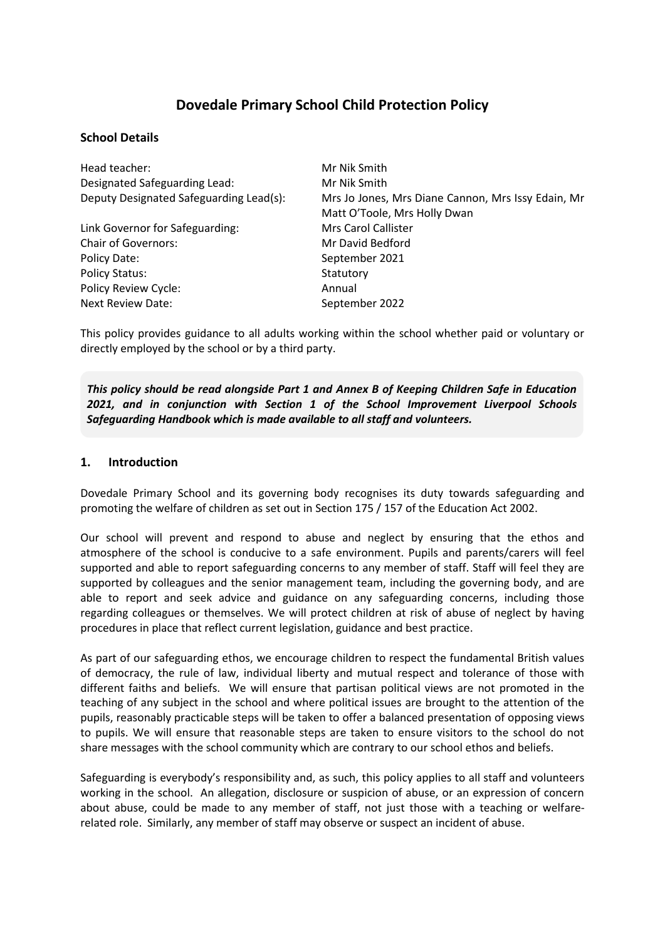# **Dovedale Primary School Child Protection Policy**

## **School Details**

| Head teacher:                           | Mr Nik Smith                                       |
|-----------------------------------------|----------------------------------------------------|
| Designated Safeguarding Lead:           | Mr Nik Smith                                       |
| Deputy Designated Safeguarding Lead(s): | Mrs Jo Jones, Mrs Diane Cannon, Mrs Issy Edain, Mr |
|                                         | Matt O'Toole, Mrs Holly Dwan                       |
| Link Governor for Safeguarding:         | <b>Mrs Carol Callister</b>                         |
| <b>Chair of Governors:</b>              | Mr David Bedford                                   |
| Policy Date:                            | September 2021                                     |
| <b>Policy Status:</b>                   | Statutory                                          |
| Policy Review Cycle:                    | Annual                                             |
| Next Review Date:                       | September 2022                                     |

This policy provides guidance to all adults working within the school whether paid or voluntary or directly employed by the school or by a third party.

*This policy should be read alongside Part 1 and Annex B of Keeping Children Safe in Education 2021, and in conjunction with Section 1 of the School Improvement Liverpool Schools Safeguarding Handbook which is made available to all staff and volunteers.*

## **1. Introduction**

Dovedale Primary School and its governing body recognises its duty towards safeguarding and promoting the welfare of children as set out in Section 175 / 157 of the Education Act 2002.

Our school will prevent and respond to abuse and neglect by ensuring that the ethos and atmosphere of the school is conducive to a safe environment. Pupils and parents/carers will feel supported and able to report safeguarding concerns to any member of staff. Staff will feel they are supported by colleagues and the senior management team, including the governing body, and are able to report and seek advice and guidance on any safeguarding concerns, including those regarding colleagues or themselves. We will protect children at risk of abuse of neglect by having procedures in place that reflect current legislation, guidance and best practice.

As part of our safeguarding ethos, we encourage children to respect the fundamental British values of democracy, the rule of law, individual liberty and mutual respect and tolerance of those with different faiths and beliefs. We will ensure that partisan political views are not promoted in the teaching of any subject in the school and where political issues are brought to the attention of the pupils, reasonably practicable steps will be taken to offer a balanced presentation of opposing views to pupils. We will ensure that reasonable steps are taken to ensure visitors to the school do not share messages with the school community which are contrary to our school ethos and beliefs.

Safeguarding is everybody's responsibility and, as such, this policy applies to all staff and volunteers working in the school. An allegation, disclosure or suspicion of abuse, or an expression of concern about abuse, could be made to any member of staff, not just those with a teaching or welfarerelated role. Similarly, any member of staff may observe or suspect an incident of abuse.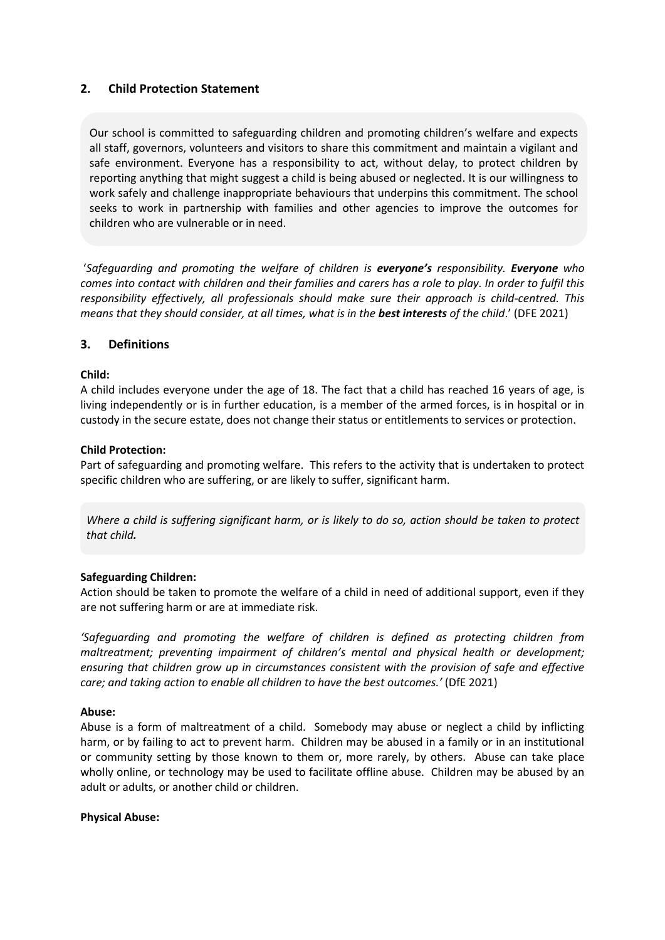# **2. Child Protection Statement**

Our school is committed to safeguarding children and promoting children's welfare and expects all staff, governors, volunteers and visitors to share this commitment and maintain a vigilant and safe environment. Everyone has a responsibility to act, without delay, to protect children by reporting anything that might suggest a child is being abused or neglected. It is our willingness to work safely and challenge inappropriate behaviours that underpins this commitment. The school seeks to work in partnership with families and other agencies to improve the outcomes for children who are vulnerable or in need.

'*Safeguarding and promoting the welfare of children is everyone's responsibility. Everyone who comes into contact with children and their families and carers has a role to play. In order to fulfil this responsibility effectively, all professionals should make sure their approach is child-centred. This means that they should consider, at all times, what is in the best interests of the child*.' (DFE 2021)

## **3. Definitions**

### **Child:**

A child includes everyone under the age of 18. The fact that a child has reached 16 years of age, is living independently or is in further education, is a member of the armed forces, is in hospital or in custody in the secure estate, does not change their status or entitlements to services or protection.

### **Child Protection:**

Part of safeguarding and promoting welfare. This refers to the activity that is undertaken to protect specific children who are suffering, or are likely to suffer, significant harm.

*Where a child is suffering significant harm, or is likely to do so, action should be taken to protect that child.*

### **Safeguarding Children:**

Action should be taken to promote the welfare of a child in need of additional support, even if they are not suffering harm or are at immediate risk.

*'Safeguarding and promoting the welfare of children is defined as protecting children from maltreatment; preventing impairment of children's mental and physical health or development; ensuring that children grow up in circumstances consistent with the provision of safe and effective care; and taking action to enable all children to have the best outcomes.'* (DfE 2021)

### **Abuse:**

Abuse is a form of maltreatment of a child. Somebody may abuse or neglect a child by inflicting harm, or by failing to act to prevent harm. Children may be abused in a family or in an institutional or community setting by those known to them or, more rarely, by others. Abuse can take place wholly online, or technology may be used to facilitate offline abuse. Children may be abused by an adult or adults, or another child or children.

### **Physical Abuse:**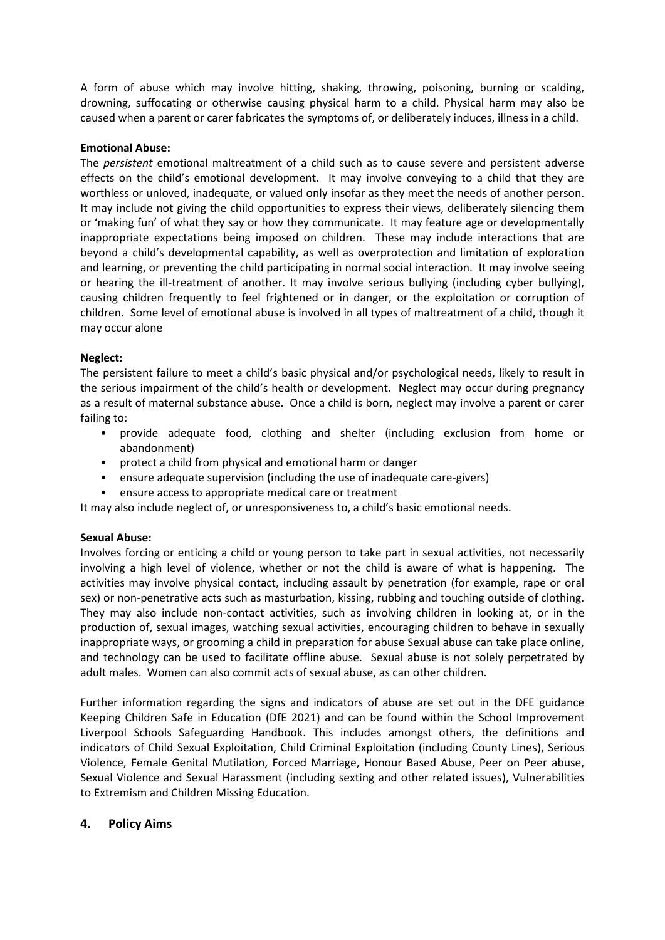A form of abuse which may involve hitting, shaking, throwing, poisoning, burning or scalding, drowning, suffocating or otherwise causing physical harm to a child. Physical harm may also be caused when a parent or carer fabricates the symptoms of, or deliberately induces, illness in a child.

## **Emotional Abuse:**

The *persistent* emotional maltreatment of a child such as to cause severe and persistent adverse effects on the child's emotional development. It may involve conveying to a child that they are worthless or unloved, inadequate, or valued only insofar as they meet the needs of another person. It may include not giving the child opportunities to express their views, deliberately silencing them or 'making fun' of what they say or how they communicate. It may feature age or developmentally inappropriate expectations being imposed on children. These may include interactions that are beyond a child's developmental capability, as well as overprotection and limitation of exploration and learning, or preventing the child participating in normal social interaction. It may involve seeing or hearing the ill-treatment of another. It may involve serious bullying (including cyber bullying), causing children frequently to feel frightened or in danger, or the exploitation or corruption of children. Some level of emotional abuse is involved in all types of maltreatment of a child, though it may occur alone

## **Neglect:**

The persistent failure to meet a child's basic physical and/or psychological needs, likely to result in the serious impairment of the child's health or development. Neglect may occur during pregnancy as a result of maternal substance abuse. Once a child is born, neglect may involve a parent or carer failing to:

- provide adequate food, clothing and shelter (including exclusion from home or abandonment)
- protect a child from physical and emotional harm or danger
- ensure adequate supervision (including the use of inadequate care-givers)
- ensure access to appropriate medical care or treatment

It may also include neglect of, or unresponsiveness to, a child's basic emotional needs.

### **Sexual Abuse:**

Involves forcing or enticing a child or young person to take part in sexual activities, not necessarily involving a high level of violence, whether or not the child is aware of what is happening. The activities may involve physical contact, including assault by penetration (for example, rape or oral sex) or non-penetrative acts such as masturbation, kissing, rubbing and touching outside of clothing. They may also include non-contact activities, such as involving children in looking at, or in the production of, sexual images, watching sexual activities, encouraging children to behave in sexually inappropriate ways, or grooming a child in preparation for abuse Sexual abuse can take place online, and technology can be used to facilitate offline abuse. Sexual abuse is not solely perpetrated by adult males. Women can also commit acts of sexual abuse, as can other children.

Further information regarding the signs and indicators of abuse are set out in the DFE guidance Keeping Children Safe in Education (DfE 2021) and can be found within the School Improvement Liverpool Schools Safeguarding Handbook. This includes amongst others, the definitions and indicators of Child Sexual Exploitation, Child Criminal Exploitation (including County Lines), Serious Violence, Female Genital Mutilation, Forced Marriage, Honour Based Abuse, Peer on Peer abuse, Sexual Violence and Sexual Harassment (including sexting and other related issues), Vulnerabilities to Extremism and Children Missing Education.

## **4. Policy Aims**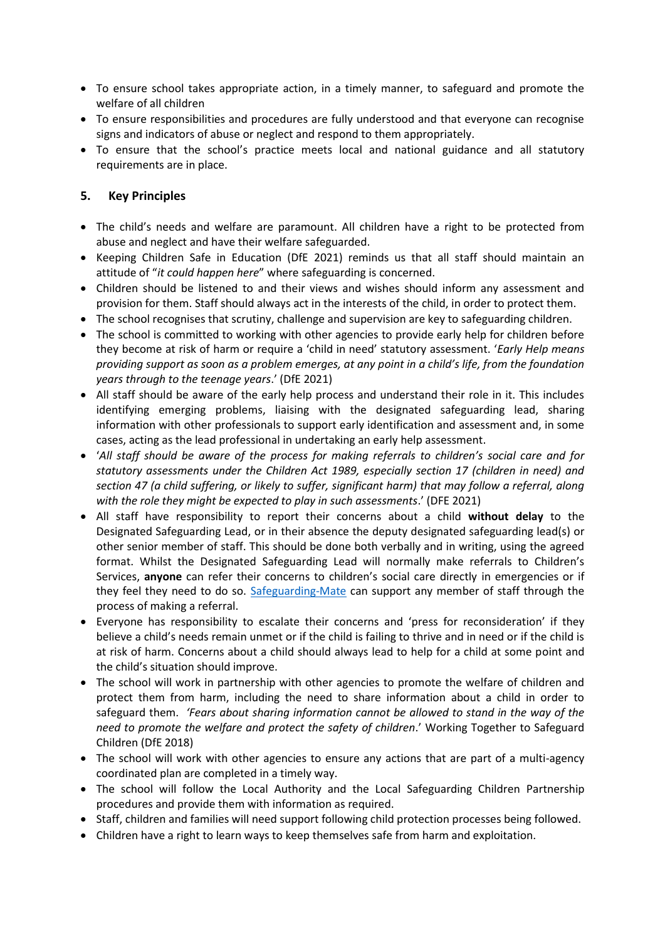- To ensure school takes appropriate action, in a timely manner, to safeguard and promote the welfare of all children
- To ensure responsibilities and procedures are fully understood and that everyone can recognise signs and indicators of abuse or neglect and respond to them appropriately.
- To ensure that the school's practice meets local and national guidance and all statutory requirements are in place.

# **5. Key Principles**

- The child's needs and welfare are paramount. All children have a right to be protected from abuse and neglect and have their welfare safeguarded.
- Keeping Children Safe in Education (DfE 2021) reminds us that all staff should maintain an attitude of "*it could happen here*" where safeguarding is concerned.
- Children should be listened to and their views and wishes should inform any assessment and provision for them. Staff should always act in the interests of the child, in order to protect them.
- The school recognises that scrutiny, challenge and supervision are key to safeguarding children.
- The school is committed to working with other agencies to provide early help for children before they become at risk of harm or require a 'child in need' statutory assessment. '*Early Help means providing support as soon as a problem emerges, at any point in a child's life, from the foundation years through to the teenage years*.' (DfE 2021)
- All staff should be aware of the early help process and understand their role in it. This includes identifying emerging problems, liaising with the designated safeguarding lead, sharing information with other professionals to support early identification and assessment and, in some cases, acting as the lead professional in undertaking an early help assessment.
- '*All staff should be aware of the process for making referrals to children's social care and for statutory assessments under the Children Act 1989, especially section 17 (children in need) and section 47 (a child suffering, or likely to suffer, significant harm) that may follow a referral, along with the role they might be expected to play in such assessments*.' (DFE 2021)
- All staff have responsibility to report their concerns about a child **without delay** to the Designated Safeguarding Lead, or in their absence the deputy designated safeguarding lead(s) or other senior member of staff. This should be done both verbally and in writing, using the agreed format. Whilst the Designated Safeguarding Lead will normally make referrals to Children's Services, **anyone** can refer their concerns to children's social care directly in emergencies or if they feel they need to do so. [Safeguarding-Mate](https://www.schoolimprovementliverpool.co.uk/safeguarding-mate/) can support any member of staff through the process of making a referral.
- Everyone has responsibility to escalate their concerns and 'press for reconsideration' if they believe a child's needs remain unmet or if the child is failing to thrive and in need or if the child is at risk of harm. Concerns about a child should always lead to help for a child at some point and the child's situation should improve.
- The school will work in partnership with other agencies to promote the welfare of children and protect them from harm, including the need to share information about a child in order to safeguard them. *'Fears about sharing information cannot be allowed to stand in the way of the need to promote the welfare and protect the safety of children*.' Working Together to Safeguard Children (DfE 2018)
- The school will work with other agencies to ensure any actions that are part of a multi-agency coordinated plan are completed in a timely way.
- The school will follow the Local Authority and the Local Safeguarding Children Partnership procedures and provide them with information as required.
- Staff, children and families will need support following child protection processes being followed.
- Children have a right to learn ways to keep themselves safe from harm and exploitation.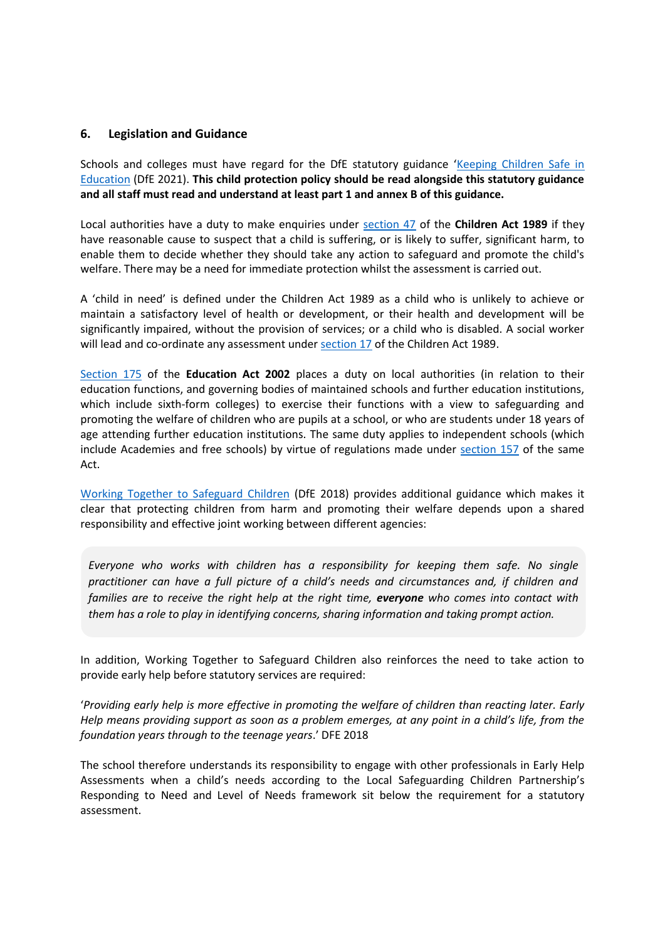## **6. Legislation and Guidance**

Schools and colleges must have regard for the DfE statutory guidance '[Keeping Children Safe in](https://www.gov.uk/government/publications/keeping-children-safe-in-education--2)  [Education](https://www.gov.uk/government/publications/keeping-children-safe-in-education--2) (DfE 2021). **This child protection policy should be read alongside this statutory guidance and all staff must read and understand at least part 1 and annex B of this guidance.**

Local authorities have a duty to make enquiries under [section 47](http://www.legislation.gov.uk/ukpga/1989/41/section/47) of the **Children Act 1989** if they have reasonable cause to suspect that a child is suffering, or is likely to suffer, significant harm, to enable them to decide whether they should take any action to safeguard and promote the child's welfare. There may be a need for immediate protection whilst the assessment is carried out.

A 'child in need' is defined under the Children Act 1989 as a child who is unlikely to achieve or maintain a satisfactory level of health or development, or their health and development will be significantly impaired, without the provision of services; or a child who is disabled. A social worker will lead and co-ordinate any assessment under [section 17](http://www.legislation.gov.uk/ukpga/1989/41/section/17) of the Children Act 1989.

[Section 175](https://www.legislation.gov.uk/ukpga/2002/32/section/175) of the **Education Act 2002** places a duty on local authorities (in relation to their education functions, and governing bodies of maintained schools and further education institutions, which include sixth-form colleges) to exercise their functions with a view to safeguarding and promoting the welfare of children who are pupils at a school, or who are students under 18 years of age attending further education institutions. The same duty applies to independent schools (which include Academies and free schools) by virtue of regulations made under [section 157](https://www.legislation.gov.uk/ukpga/2002/32/section/157) of the same Act.

[Working Together to Safeguard Children](https://www.gov.uk/government/publications/working-together-to-safeguard-children--2) (DfE 2018) provides additional guidance which makes it clear that protecting children from harm and promoting their welfare depends upon a shared responsibility and effective joint working between different agencies:

*Everyone who works with children has a responsibility for keeping them safe. No single practitioner can have a full picture of a child's needs and circumstances and, if children and families are to receive the right help at the right time, everyone who comes into contact with them has a role to play in identifying concerns, sharing information and taking prompt action.*

In addition, Working Together to Safeguard Children also reinforces the need to take action to provide early help before statutory services are required:

'*Providing early help is more effective in promoting the welfare of children than reacting later. Early Help means providing support as soon as a problem emerges, at any point in a child's life, from the foundation years through to the teenage years*.' DFE 2018

The school therefore understands its responsibility to engage with other professionals in Early Help Assessments when a child's needs according to the Local Safeguarding Children Partnership's Responding to Need and Level of Needs framework sit below the requirement for a statutory assessment.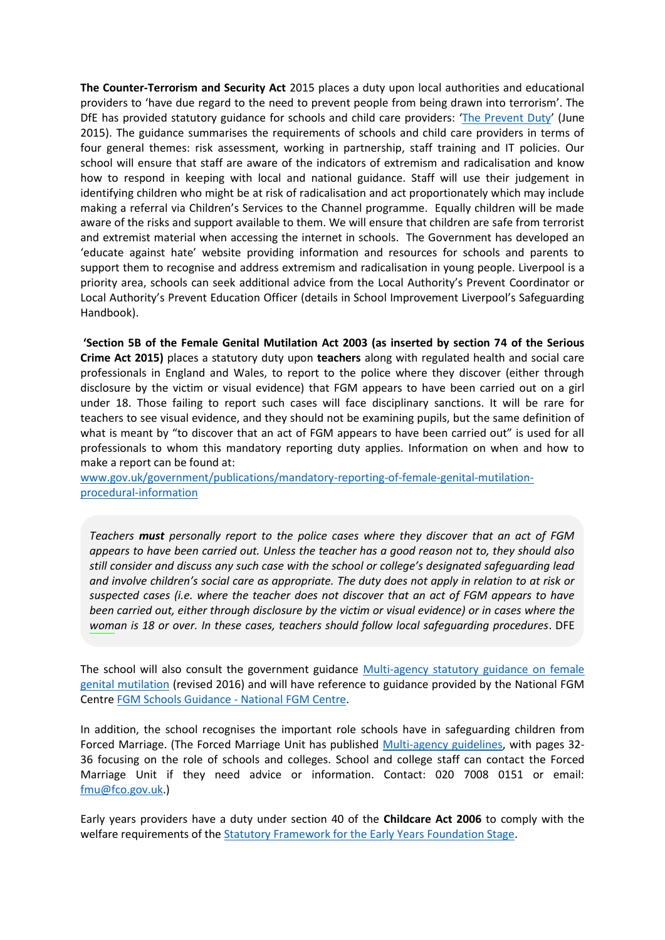**The Counter-Terrorism and Security Act** 2015 places a duty upon local authorities and educational providers to 'have due regard to the need to prevent people from being drawn into terrorism'. The DfE has provided statutory guidance for schools and child care providers: '[The Prevent Duty](https://www.gov.uk/government/publications/prevent-duty-guidance)' (June 2015). The guidance summarises the requirements of schools and child care providers in terms of four general themes: risk assessment, working in partnership, staff training and IT policies. Our school will ensure that staff are aware of the indicators of extremism and radicalisation and know how to respond in keeping with local and national guidance. Staff will use their judgement in identifying children who might be at risk of radicalisation and act proportionately which may include making a referral via Children's Services to the Channel programme. Equally children will be made aware of the risks and support available to them. We will ensure that children are safe from terrorist and extremist material when accessing the internet in schools. The Government has developed an 'educate against hate' website providing information and resources for schools and parents to support them to recognise and address extremism and radicalisation in young people. Liverpool is a priority area, schools can seek additional advice from the Local Authority's Prevent Coordinator or Local Authority's Prevent Education Officer (details in School Improvement Liverpool's Safeguarding Handbook).

**'Section 5B of the Female Genital Mutilation Act 2003 (as inserted by section 74 of the Serious Crime Act 2015)** places a statutory duty upon **teachers** along with regulated health and social care professionals in England and Wales, to report to the police where they discover (either through disclosure by the victim or visual evidence) that FGM appears to have been carried out on a girl under 18. Those failing to report such cases will face disciplinary sanctions. It will be rare for teachers to see visual evidence, and they should not be examining pupils, but the same definition of what is meant by "to discover that an act of FGM appears to have been carried out" is used for all professionals to whom this mandatory reporting duty applies. Information on when and how to make a report can be found at:

[www.gov.uk/government/publications/mandatory-reporting-of-female-genital-mutilation](http://www.gov.uk/government/publications/mandatory-reporting-of-female-genital-mutilation-procedural-information)[procedural-information](http://www.gov.uk/government/publications/mandatory-reporting-of-female-genital-mutilation-procedural-information)

*Teachers must personally report to the police cases where they discover that an act of FGM appears to have been carried out. Unless the teacher has a good reason not to, they should also still consider and discuss any such case with the school or college's designated safeguarding lead and involve children's social care as appropriate. The duty does not apply in relation to at risk or suspected cases (i.e. where the teacher does not discover that an act of FGM appears to have been carried out, either through disclosure by the victim or visual evidence) or in cases where the woman is 18 or over. In these cases, teachers should follow local safeguarding procedures*. DFE

The school will also consult the government guidance [Multi-agency statutory guidance on female](https://www.gov.uk/government/publications/multi-agency-statutory-guidance-on-female-genital-mutilation)  [genital mutilation](https://www.gov.uk/government/publications/multi-agency-statutory-guidance-on-female-genital-mutilation) (revised 2016) and will have reference to guidance provided by the National FGM Centr[e FGM Schools Guidance -](http://nationalfgmcentre.org.uk/wp-content/uploads/2019/06/FGM-Schools-Guidance-National-FGM-Centre.pdf) National FGM Centre.

In addition, the school recognises the important role schools have in safeguarding children from Forced Marriage. (The Forced Marriage Unit has published [Multi-agency guidelines,](https://www.gov.uk/guidance/forced-marriage) with pages 32- 36 focusing on the role of schools and colleges. School and college staff can contact the Forced Marriage Unit if they need advice or information. Contact: 020 7008 0151 or email: [fmu@fco.gov.uk.](mailto:fmu@fco.gov.uk))

Early years providers have a duty under section 40 of the **Childcare Act 2006** to comply with the welfare requirements of th[e Statutory Framework for the Early Years Foundation Stage.](https://www.gov.uk/government/publications/early-years-foundation-stage-framework--2)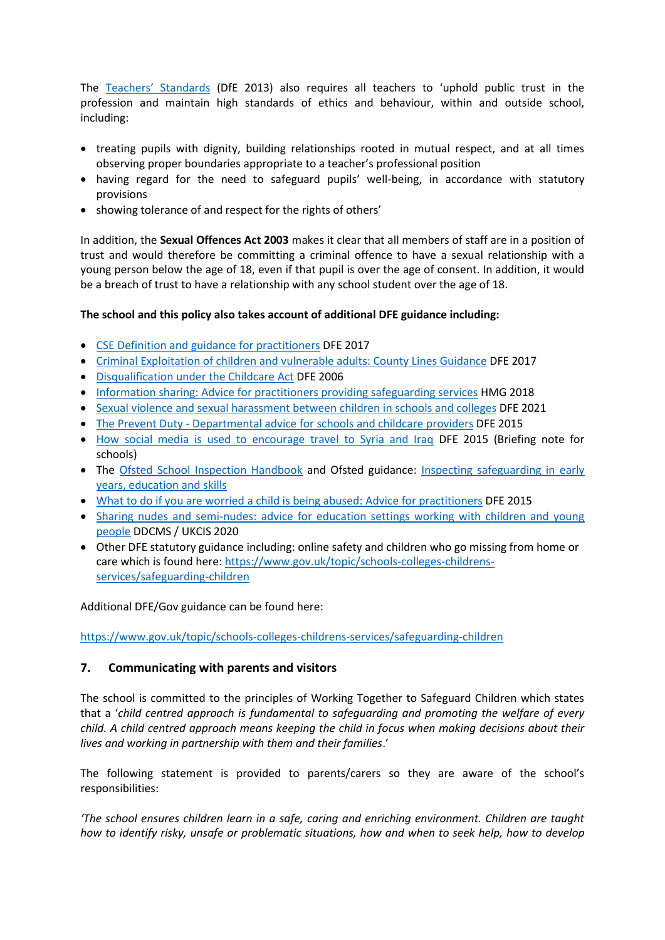The Teachers' [Standards](https://www.gov.uk/government/publications/teachers-standards) (DfE 2013) also requires all teachers to 'uphold public trust in the profession and maintain high standards of ethics and behaviour, within and outside school, including:

- treating pupils with dignity, building relationships rooted in mutual respect, and at all times observing proper boundaries appropriate to a teacher's professional position
- having regard for the need to safeguard pupils' well-being, in accordance with statutory provisions
- showing tolerance of and respect for the rights of others'

In addition, the **Sexual Offences Act 2003** makes it clear that all members of staff are in a position of trust and would therefore be committing a criminal offence to have a sexual relationship with a young person below the age of 18, even if that pupil is over the age of consent. In addition, it would be a breach of trust to have a relationship with any school student over the age of 18.

## **The school and this policy also takes account of additional DFE guidance including:**

- [CSE Definition and guidance](https://www.gov.uk/government/publications/child-sexual-exploitation-definition-and-guide-for-practitioners) for practitioners DFE 2017
- [Criminal Exploitation of children and vulnerable adults: County Lines Guidance](https://www.gov.uk/government/publications/criminal-exploitation-of-children-and-vulnerable-adults-county-lines) DFE 2017
- [Disqualification under the Childcare Act](https://www.gov.uk/government/publications/disqualification-under-the-childcare-act-2006/disqualification-under-the-childcare-act-2006) DFE 2006
- [Information sharing: Advice for practitioners providing safeguarding services](https://www.gov.uk/government/publications/safeguarding-practitioners-information-sharing-advice) HMG 2018
- [Sexual violence and sexual harassment between children in schools and colleges](https://www.gov.uk/government/publications/sexual-violence-and-sexual-harassment-between-children-in-schools-and-colleges) DFE 2021
- The Prevent Duty [Departmental advice for schools and childcare providers](https://www.gov.uk/government/publications/protecting-children-from-radicalisation-the-prevent-duty) DFE 2015
- [How social media is used to encourage travel to Syria and Iraq](https://www.gov.uk/government/publications/the-use-of-social-media-for-online-radicalisation) DFE 2015 (Briefing note for schools)
- The [Ofsted School Inspection Handbook](https://www.gov.uk/government/publications/school-inspection-handbook-eif) and Ofsted guidance: [Inspecting safeguarding in early](https://www.gov.uk/government/publications/inspecting-safeguarding-in-early-years-education-and-skills)  [years, education and skills](https://www.gov.uk/government/publications/inspecting-safeguarding-in-early-years-education-and-skills)
- [What to do if you are worried a child is being abused: Advice for practitioners](https://www.gov.uk/government/publications/what-to-do-if-youre-worried-a-child-is-being-abused--2) DFE 2015
- [Sharing nudes and semi-nudes: advice for education settings working with children and young](https://www.gov.uk/government/publications/sharing-nudes-and-semi-nudes-advice-for-education-settings-working-with-children-and-young-people)  [people](https://www.gov.uk/government/publications/sharing-nudes-and-semi-nudes-advice-for-education-settings-working-with-children-and-young-people) DDCMS / UKCIS 2020
- Other DFE statutory guidance including: online safety and children who go missing from home or care which is found here: [https://www.gov.uk/topic/schools-colleges-childrens](https://www.gov.uk/topic/schools-colleges-childrens-services/safeguarding-children)[services/safeguarding-children](https://www.gov.uk/topic/schools-colleges-childrens-services/safeguarding-children)

Additional DFE/Gov guidance can be found here:

<https://www.gov.uk/topic/schools-colleges-childrens-services/safeguarding-children>

## **7. Communicating with parents and visitors**

The school is committed to the principles of Working Together to Safeguard Children which states that a '*child centred approach is fundamental to safeguarding and promoting the welfare of every child. A child centred approach means keeping the child in focus when making decisions about their lives and working in partnership with them and their families*.'

The following statement is provided to parents/carers so they are aware of the school's responsibilities:

*'The school ensures children learn in a safe, caring and enriching environment. Children are taught how to identify risky, unsafe or problematic situations, how and when to seek help, how to develop*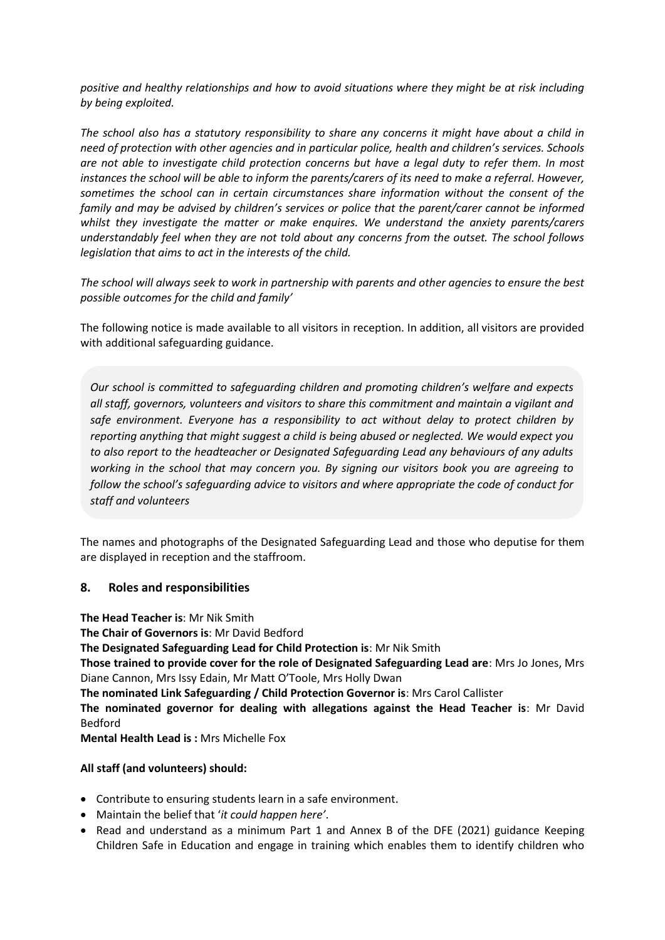*positive and healthy relationships and how to avoid situations where they might be at risk including by being exploited.* 

*The school also has a statutory responsibility to share any concerns it might have about a child in need of protection with other agencies and in particular police, health and children's services. Schools are not able to investigate child protection concerns but have a legal duty to refer them. In most instances the school will be able to inform the parents/carers of its need to make a referral. However, sometimes the school can in certain circumstances share information without the consent of the family and may be advised by children's services or police that the parent/carer cannot be informed whilst they investigate the matter or make enquires. We understand the anxiety parents/carers understandably feel when they are not told about any concerns from the outset. The school follows legislation that aims to act in the interests of the child.* 

*The school will always seek to work in partnership with parents and other agencies to ensure the best possible outcomes for the child and family'*

The following notice is made available to all visitors in reception. In addition, all visitors are provided with additional safeguarding guidance.

*Our school is committed to safeguarding children and promoting children's welfare and expects all staff, governors, volunteers and visitors to share this commitment and maintain a vigilant and safe environment. Everyone has a responsibility to act without delay to protect children by reporting anything that might suggest a child is being abused or neglected. We would expect you to also report to the headteacher or Designated Safeguarding Lead any behaviours of any adults working in the school that may concern you. By signing our visitors book you are agreeing to follow the school's safeguarding advice to visitors and where appropriate the code of conduct for staff and volunteers*

The names and photographs of the Designated Safeguarding Lead and those who deputise for them are displayed in reception and the staffroom.

### **8. Roles and responsibilities**

**The Head Teacher is**: Mr Nik Smith

**The Chair of Governors is**: Mr David Bedford

**The Designated Safeguarding Lead for Child Protection is**: Mr Nik Smith

**Those trained to provide cover for the role of Designated Safeguarding Lead are**: Mrs Jo Jones, Mrs Diane Cannon, Mrs Issy Edain, Mr Matt O'Toole, Mrs Holly Dwan

**The nominated Link Safeguarding / Child Protection Governor is**: Mrs Carol Callister

**The nominated governor for dealing with allegations against the Head Teacher is**: Mr David Bedford

**Mental Health Lead is :** Mrs Michelle Fox

### **All staff (and volunteers) should:**

- Contribute to ensuring students learn in a safe environment.
- Maintain the belief that '*it could happen here'*.
- Read and understand as a minimum Part 1 and Annex B of the DFE (2021) guidance Keeping Children Safe in Education and engage in training which enables them to identify children who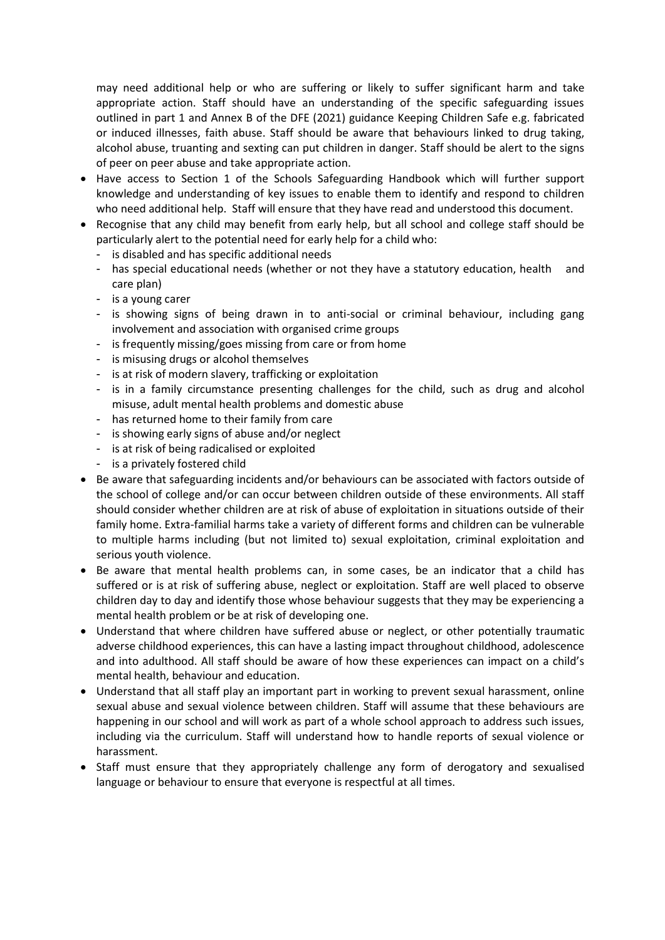may need additional help or who are suffering or likely to suffer significant harm and take appropriate action. Staff should have an understanding of the specific safeguarding issues outlined in part 1 and Annex B of the DFE (2021) guidance Keeping Children Safe e.g. fabricated or induced illnesses, faith abuse. Staff should be aware that behaviours linked to drug taking, alcohol abuse, truanting and sexting can put children in danger. Staff should be alert to the signs of peer on peer abuse and take appropriate action.

- Have access to Section 1 of the Schools Safeguarding Handbook which will further support knowledge and understanding of key issues to enable them to identify and respond to children who need additional help. Staff will ensure that they have read and understood this document.
- Recognise that any child may benefit from early help, but all school and college staff should be particularly alert to the potential need for early help for a child who:
	- is disabled and has specific additional needs
	- has special educational needs (whether or not they have a statutory education, health and care plan)
	- is a young carer
	- is showing signs of being drawn in to anti-social or criminal behaviour, including gang involvement and association with organised crime groups
	- is frequently missing/goes missing from care or from home
	- is misusing drugs or alcohol themselves
	- is at risk of modern slavery, trafficking or exploitation
	- is in a family circumstance presenting challenges for the child, such as drug and alcohol misuse, adult mental health problems and domestic abuse
	- has returned home to their family from care
	- is showing early signs of abuse and/or neglect
	- is at risk of being radicalised or exploited
	- is a privately fostered child
- Be aware that safeguarding incidents and/or behaviours can be associated with factors outside of the school of college and/or can occur between children outside of these environments. All staff should consider whether children are at risk of abuse of exploitation in situations outside of their family home. Extra-familial harms take a variety of different forms and children can be vulnerable to multiple harms including (but not limited to) sexual exploitation, criminal exploitation and serious youth violence.
- Be aware that mental health problems can, in some cases, be an indicator that a child has suffered or is at risk of suffering abuse, neglect or exploitation. Staff are well placed to observe children day to day and identify those whose behaviour suggests that they may be experiencing a mental health problem or be at risk of developing one.
- Understand that where children have suffered abuse or neglect, or other potentially traumatic adverse childhood experiences, this can have a lasting impact throughout childhood, adolescence and into adulthood. All staff should be aware of how these experiences can impact on a child's mental health, behaviour and education.
- Understand that all staff play an important part in working to prevent sexual harassment, online sexual abuse and sexual violence between children. Staff will assume that these behaviours are happening in our school and will work as part of a whole school approach to address such issues, including via the curriculum. Staff will understand how to handle reports of sexual violence or harassment.
- Staff must ensure that they appropriately challenge any form of derogatory and sexualised language or behaviour to ensure that everyone is respectful at all times.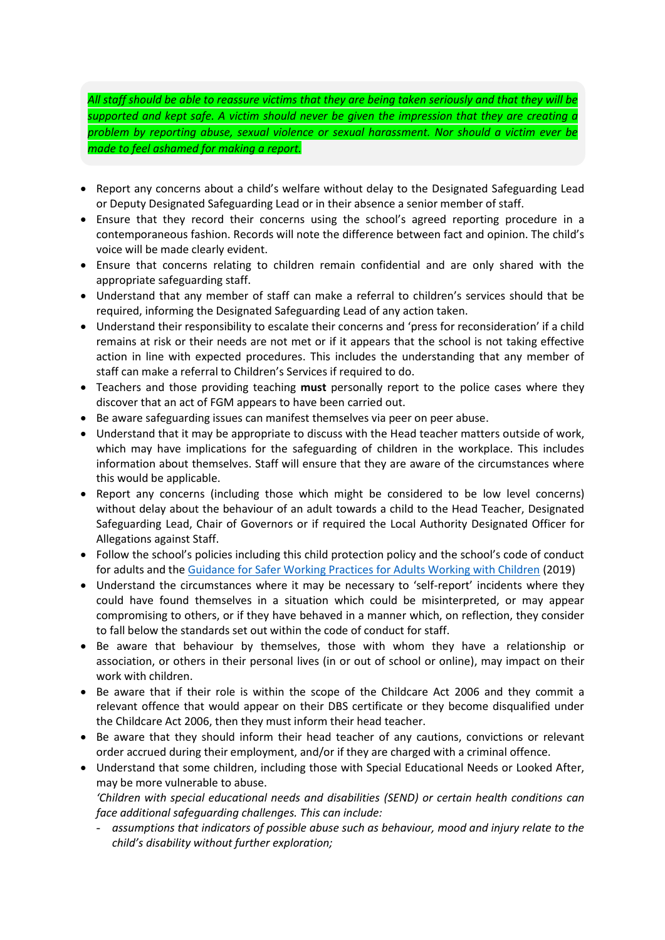*All staff should be able to reassure victims that they are being taken seriously and that they will be supported and kept safe. A victim should never be given the impression that they are creating a problem by reporting abuse, sexual violence or sexual harassment. Nor should a victim ever be made to feel ashamed for making a report.*

- Report any concerns about a child's welfare without delay to the Designated Safeguarding Lead or Deputy Designated Safeguarding Lead or in their absence a senior member of staff.
- Ensure that they record their concerns using the school's agreed reporting procedure in a contemporaneous fashion. Records will note the difference between fact and opinion. The child's voice will be made clearly evident.
- Ensure that concerns relating to children remain confidential and are only shared with the appropriate safeguarding staff.
- Understand that any member of staff can make a referral to children's services should that be required, informing the Designated Safeguarding Lead of any action taken.
- Understand their responsibility to escalate their concerns and 'press for reconsideration' if a child remains at risk or their needs are not met or if it appears that the school is not taking effective action in line with expected procedures. This includes the understanding that any member of staff can make a referral to Children's Services if required to do.
- Teachers and those providing teaching **must** personally report to the police cases where they discover that an act of FGM appears to have been carried out.
- **Be aware safeguarding issues can manifest themselves via peer on peer abuse.**
- Understand that it may be appropriate to discuss with the Head teacher matters outside of work, which may have implications for the safeguarding of children in the workplace. This includes information about themselves. Staff will ensure that they are aware of the circumstances where this would be applicable.
- Report any concerns (including those which might be considered to be low level concerns) without delay about the behaviour of an adult towards a child to the Head Teacher, Designated Safeguarding Lead, Chair of Governors or if required the Local Authority Designated Officer for Allegations against Staff.
- Follow the school's policies including this child protection policy and the school's code of conduct for adults and the [Guidance for Safer Working Practices for Adults Working with Children](https://www.saferrecruitmentconsortium.org/GSWP%20May%202019%20final.pdf) (2019)
- Understand the circumstances where it may be necessary to 'self-report' incidents where they could have found themselves in a situation which could be misinterpreted, or may appear compromising to others, or if they have behaved in a manner which, on reflection, they consider to fall below the standards set out within the code of conduct for staff.
- Be aware that behaviour by themselves, those with whom they have a relationship or association, or others in their personal lives (in or out of school or online), may impact on their work with children.
- Be aware that if their role is within the scope of the Childcare Act 2006 and they commit a relevant offence that would appear on their DBS certificate or they become disqualified under the Childcare Act 2006, then they must inform their head teacher.
- Be aware that they should inform their head teacher of any cautions, convictions or relevant order accrued during their employment, and/or if they are charged with a criminal offence.
- Understand that some children, including those with Special Educational Needs or Looked After, may be more vulnerable to abuse.

*'Children with special educational needs and disabilities (SEND) or certain health conditions can face additional safeguarding challenges. This can include:* 

- *assumptions that indicators of possible abuse such as behaviour, mood and injury relate to the child's disability without further exploration;*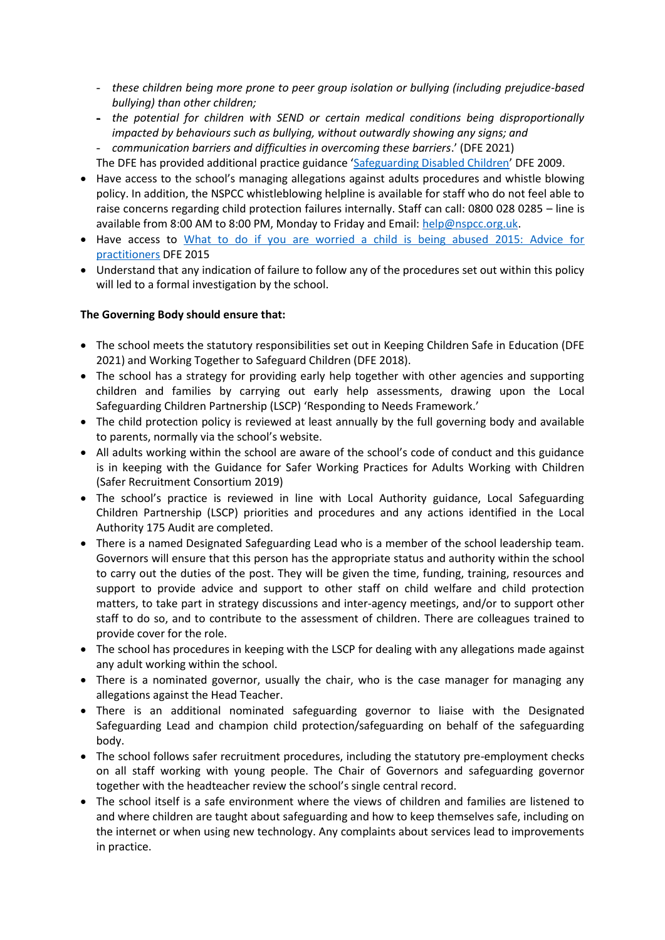- *these children being more prone to peer group isolation or bullying (including prejudice-based bullying) than other children;*
- *the potential for children with SEND or certain medical conditions being disproportionally impacted by behaviours such as bullying, without outwardly showing any signs; and*
- *communication barriers and difficulties in overcoming these barriers*.' (DFE 2021)
- The DFE has provided additional practice guidance '[Safeguarding Disabled Children](https://www.gov.uk/government/publications/safeguarding-disabled-children-practice-guidance)' DFE 2009.
- Have access to the school's managing allegations against adults procedures and whistle blowing policy. In addition, the NSPCC whistleblowing helpline is available for staff who do not feel able to raise concerns regarding child protection failures internally. Staff can call: 0800 028 0285 – line is available from 8:00 AM to 8:00 PM, Monday to Friday and Email: [help@nspcc.org.uk.](mailto:help@nspcc.org.uk)
- Have access to [What to do if you are worried a child is being abused 2015: Advice for](https://www.gov.uk/government/publications/what-to-do-if-youre-worried-a-child-is-being-abused--2)  [practitioners](https://www.gov.uk/government/publications/what-to-do-if-youre-worried-a-child-is-being-abused--2) DFE 2015
- Understand that any indication of failure to follow any of the procedures set out within this policy will led to a formal investigation by the school.

## **The Governing Body should ensure that:**

- The school meets the statutory responsibilities set out in Keeping Children Safe in Education (DFE 2021) and Working Together to Safeguard Children (DFE 2018).
- The school has a strategy for providing early help together with other agencies and supporting children and families by carrying out early help assessments, drawing upon the Local Safeguarding Children Partnership (LSCP) 'Responding to Needs Framework.'
- The child protection policy is reviewed at least annually by the full governing body and available to parents, normally via the school's website.
- All adults working within the school are aware of the school's code of conduct and this guidance is in keeping with the Guidance for Safer Working Practices for Adults Working with Children (Safer Recruitment Consortium 2019)
- The school's practice is reviewed in line with Local Authority guidance, Local Safeguarding Children Partnership (LSCP) priorities and procedures and any actions identified in the Local Authority 175 Audit are completed.
- There is a named Designated Safeguarding Lead who is a member of the school leadership team. Governors will ensure that this person has the appropriate status and authority within the school to carry out the duties of the post. They will be given the time, funding, training, resources and support to provide advice and support to other staff on child welfare and child protection matters, to take part in strategy discussions and inter-agency meetings, and/or to support other staff to do so, and to contribute to the assessment of children. There are colleagues trained to provide cover for the role.
- The school has procedures in keeping with the LSCP for dealing with any allegations made against any adult working within the school.
- There is a nominated governor, usually the chair, who is the case manager for managing any allegations against the Head Teacher.
- There is an additional nominated safeguarding governor to liaise with the Designated Safeguarding Lead and champion child protection/safeguarding on behalf of the safeguarding body.
- The school follows safer recruitment procedures, including the statutory pre-employment checks on all staff working with young people. The Chair of Governors and safeguarding governor together with the headteacher review the school's single central record.
- The school itself is a safe environment where the views of children and families are listened to and where children are taught about safeguarding and how to keep themselves safe, including on the internet or when using new technology. Any complaints about services lead to improvements in practice.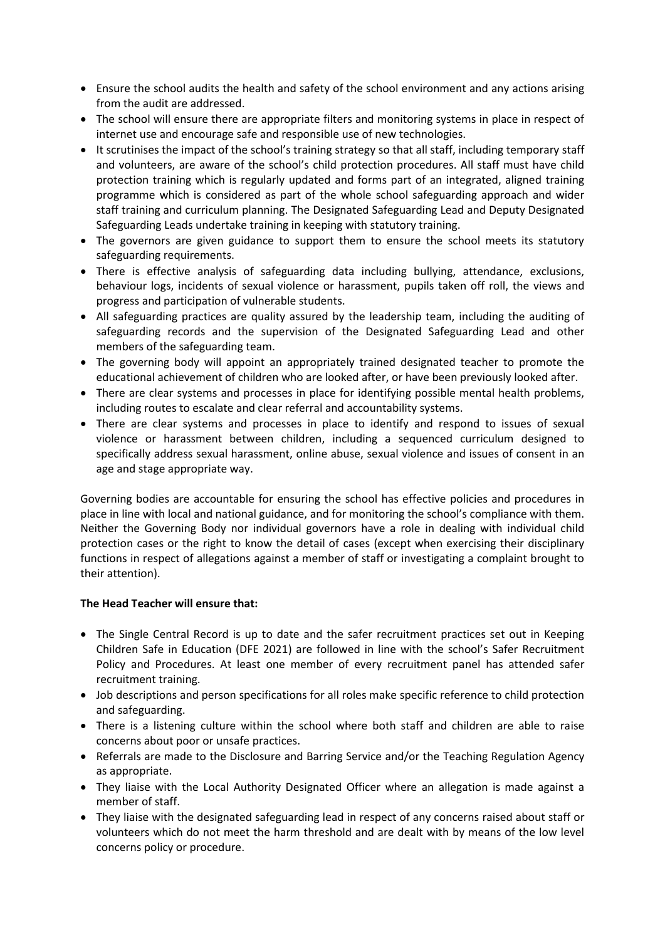- Ensure the school audits the health and safety of the school environment and any actions arising from the audit are addressed.
- The school will ensure there are appropriate filters and monitoring systems in place in respect of internet use and encourage safe and responsible use of new technologies.
- It scrutinises the impact of the school's training strategy so that all staff, including temporary staff and volunteers, are aware of the school's child protection procedures. All staff must have child protection training which is regularly updated and forms part of an integrated, aligned training programme which is considered as part of the whole school safeguarding approach and wider staff training and curriculum planning. The Designated Safeguarding Lead and Deputy Designated Safeguarding Leads undertake training in keeping with statutory training.
- The governors are given guidance to support them to ensure the school meets its statutory safeguarding requirements.
- There is effective analysis of safeguarding data including bullying, attendance, exclusions, behaviour logs, incidents of sexual violence or harassment, pupils taken off roll, the views and progress and participation of vulnerable students.
- All safeguarding practices are quality assured by the leadership team, including the auditing of safeguarding records and the supervision of the Designated Safeguarding Lead and other members of the safeguarding team.
- The governing body will appoint an appropriately trained designated teacher to promote the educational achievement of children who are looked after, or have been previously looked after.
- There are clear systems and processes in place for identifying possible mental health problems, including routes to escalate and clear referral and accountability systems.
- There are clear systems and processes in place to identify and respond to issues of sexual violence or harassment between children, including a sequenced curriculum designed to specifically address sexual harassment, online abuse, sexual violence and issues of consent in an age and stage appropriate way.

Governing bodies are accountable for ensuring the school has effective policies and procedures in place in line with local and national guidance, and for monitoring the school's compliance with them. Neither the Governing Body nor individual governors have a role in dealing with individual child protection cases or the right to know the detail of cases (except when exercising their disciplinary functions in respect of allegations against a member of staff or investigating a complaint brought to their attention).

### **The Head Teacher will ensure that:**

- The Single Central Record is up to date and the safer recruitment practices set out in Keeping Children Safe in Education (DFE 2021) are followed in line with the school's Safer Recruitment Policy and Procedures. At least one member of every recruitment panel has attended safer recruitment training.
- Job descriptions and person specifications for all roles make specific reference to child protection and safeguarding.
- There is a listening culture within the school where both staff and children are able to raise concerns about poor or unsafe practices.
- Referrals are made to the Disclosure and Barring Service and/or the Teaching Regulation Agency as appropriate.
- They liaise with the Local Authority Designated Officer where an allegation is made against a member of staff.
- They liaise with the designated safeguarding lead in respect of any concerns raised about staff or volunteers which do not meet the harm threshold and are dealt with by means of the low level concerns policy or procedure.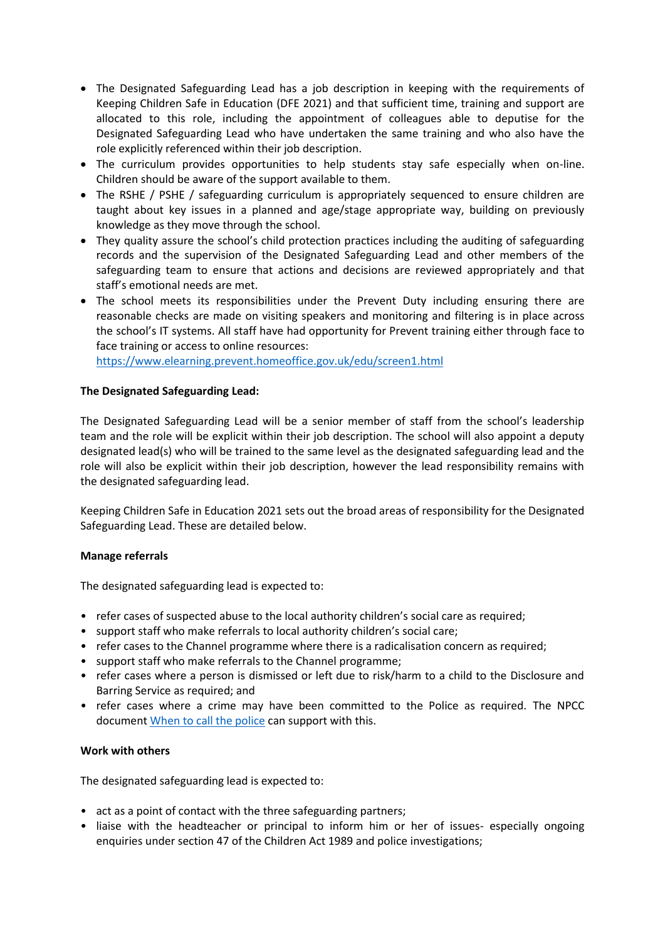- The Designated Safeguarding Lead has a job description in keeping with the requirements of Keeping Children Safe in Education (DFE 2021) and that sufficient time, training and support are allocated to this role, including the appointment of colleagues able to deputise for the Designated Safeguarding Lead who have undertaken the same training and who also have the role explicitly referenced within their job description.
- The curriculum provides opportunities to help students stay safe especially when on-line. Children should be aware of the support available to them.
- The RSHE / PSHE / safeguarding curriculum is appropriately sequenced to ensure children are taught about key issues in a planned and age/stage appropriate way, building on previously knowledge as they move through the school.
- They quality assure the school's child protection practices including the auditing of safeguarding records and the supervision of the Designated Safeguarding Lead and other members of the safeguarding team to ensure that actions and decisions are reviewed appropriately and that staff's emotional needs are met.
- The school meets its responsibilities under the Prevent Duty including ensuring there are reasonable checks are made on visiting speakers and monitoring and filtering is in place across the school's IT systems. All staff have had opportunity for Prevent training either through face to face training or access to online resources:

<https://www.elearning.prevent.homeoffice.gov.uk/edu/screen1.html>

## **The Designated Safeguarding Lead:**

The Designated Safeguarding Lead will be a senior member of staff from the school's leadership team and the role will be explicit within their job description. The school will also appoint a deputy designated lead(s) who will be trained to the same level as the designated safeguarding lead and the role will also be explicit within their job description, however the lead responsibility remains with the designated safeguarding lead.

Keeping Children Safe in Education 2021 sets out the broad areas of responsibility for the Designated Safeguarding Lead. These are detailed below.

### **Manage referrals**

The designated safeguarding lead is expected to:

- refer cases of suspected abuse to the local authority children's social care as required;
- support staff who make referrals to local authority children's social care;
- refer cases to the Channel programme where there is a radicalisation concern as required;
- support staff who make referrals to the Channel programme;
- refer cases where a person is dismissed or left due to risk/harm to a child to the Disclosure and Barring Service as required; and
- refer cases where a crime may have been committed to the Police as required. The NPCC documen[t When to call the police](https://www.npcc.police.uk/documents/Children%20and%20Young%20people/When%20to%20call%20the%20police%20guidance%20for%20schools%20and%20colleges.pdf) can support with this.

### **Work with others**

The designated safeguarding lead is expected to:

- act as a point of contact with the three safeguarding partners;
- liaise with the headteacher or principal to inform him or her of issues- especially ongoing enquiries under section 47 of the Children Act 1989 and police investigations;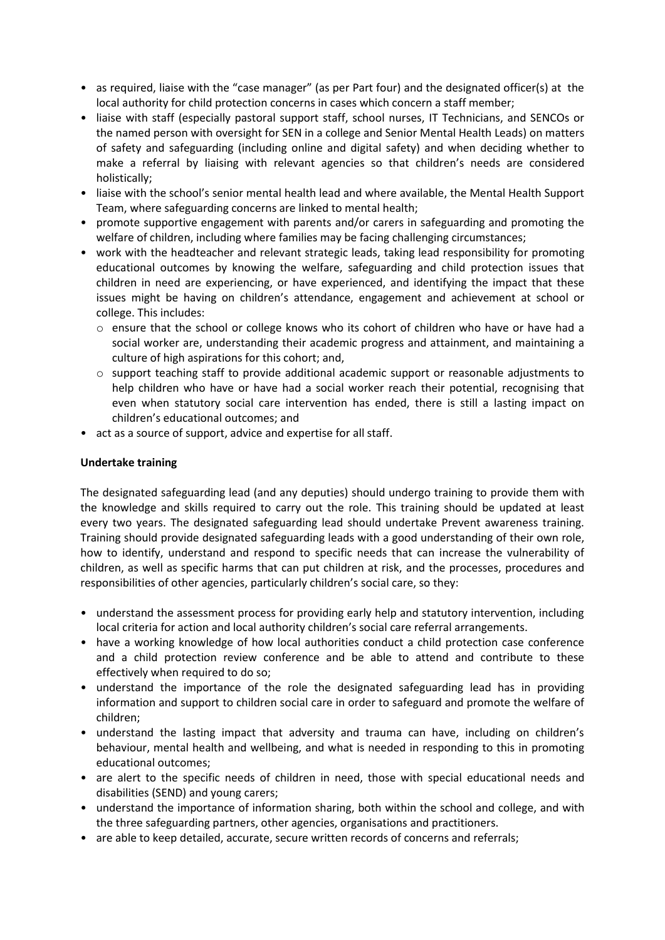- as required, liaise with the "case manager" (as per Part four) and the designated officer(s) at the local authority for child protection concerns in cases which concern a staff member;
- liaise with staff (especially pastoral support staff, school nurses, IT Technicians, and SENCOs or the named person with oversight for SEN in a college and Senior Mental Health Leads) on matters of safety and safeguarding (including online and digital safety) and when deciding whether to make a referral by liaising with relevant agencies so that children's needs are considered holistically;
- liaise with the school's senior mental health lead and where available, the Mental Health Support Team, where safeguarding concerns are linked to mental health;
- promote supportive engagement with parents and/or carers in safeguarding and promoting the welfare of children, including where families may be facing challenging circumstances;
- work with the headteacher and relevant strategic leads, taking lead responsibility for promoting educational outcomes by knowing the welfare, safeguarding and child protection issues that children in need are experiencing, or have experienced, and identifying the impact that these issues might be having on children's attendance, engagement and achievement at school or college. This includes:
	- o ensure that the school or college knows who its cohort of children who have or have had a social worker are, understanding their academic progress and attainment, and maintaining a culture of high aspirations for this cohort; and,
	- o support teaching staff to provide additional academic support or reasonable adjustments to help children who have or have had a social worker reach their potential, recognising that even when statutory social care intervention has ended, there is still a lasting impact on children's educational outcomes; and
- act as a source of support, advice and expertise for all staff.

### **Undertake training**

The designated safeguarding lead (and any deputies) should undergo training to provide them with the knowledge and skills required to carry out the role. This training should be updated at least every two years. The designated safeguarding lead should undertake Prevent awareness training. Training should provide designated safeguarding leads with a good understanding of their own role, how to identify, understand and respond to specific needs that can increase the vulnerability of children, as well as specific harms that can put children at risk, and the processes, procedures and responsibilities of other agencies, particularly children's social care, so they:

- understand the assessment process for providing early help and statutory intervention, including local criteria for action and local authority children's social care referral arrangements.
- have a working knowledge of how local authorities conduct a child protection case conference and a child protection review conference and be able to attend and contribute to these effectively when required to do so;
- understand the importance of the role the designated safeguarding lead has in providing information and support to children social care in order to safeguard and promote the welfare of children;
- understand the lasting impact that adversity and trauma can have, including on children's behaviour, mental health and wellbeing, and what is needed in responding to this in promoting educational outcomes;
- are alert to the specific needs of children in need, those with special educational needs and disabilities (SEND) and young carers;
- understand the importance of information sharing, both within the school and college, and with the three safeguarding partners, other agencies, organisations and practitioners.
- are able to keep detailed, accurate, secure written records of concerns and referrals;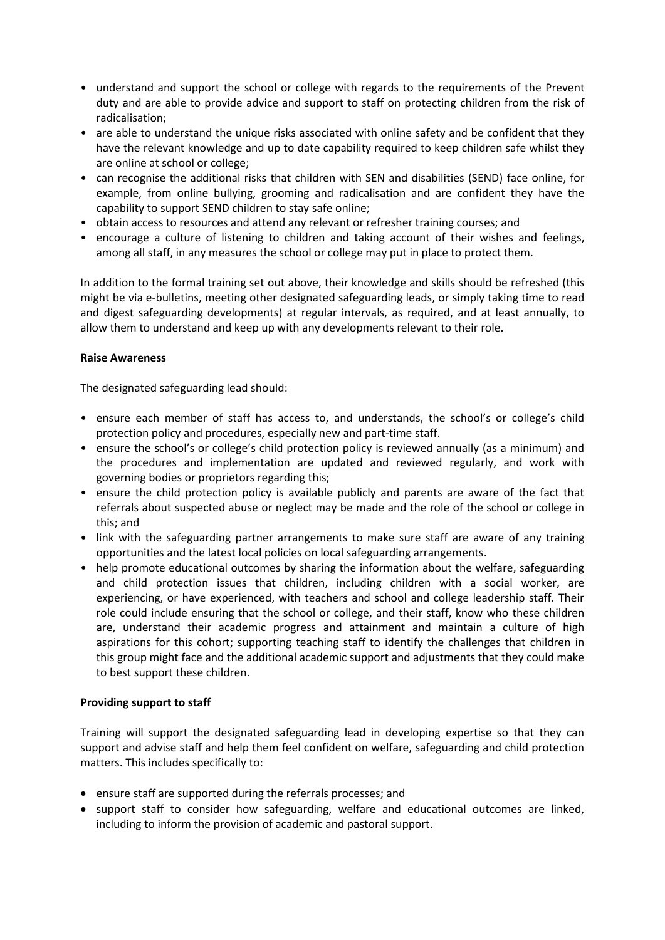- understand and support the school or college with regards to the requirements of the Prevent duty and are able to provide advice and support to staff on protecting children from the risk of radicalisation;
- are able to understand the unique risks associated with online safety and be confident that they have the relevant knowledge and up to date capability required to keep children safe whilst they are online at school or college;
- can recognise the additional risks that children with SEN and disabilities (SEND) face online, for example, from online bullying, grooming and radicalisation and are confident they have the capability to support SEND children to stay safe online;
- obtain access to resources and attend any relevant or refresher training courses; and
- encourage a culture of listening to children and taking account of their wishes and feelings, among all staff, in any measures the school or college may put in place to protect them.

In addition to the formal training set out above, their knowledge and skills should be refreshed (this might be via e-bulletins, meeting other designated safeguarding leads, or simply taking time to read and digest safeguarding developments) at regular intervals, as required, and at least annually, to allow them to understand and keep up with any developments relevant to their role.

## **Raise Awareness**

The designated safeguarding lead should:

- ensure each member of staff has access to, and understands, the school's or college's child protection policy and procedures, especially new and part-time staff.
- ensure the school's or college's child protection policy is reviewed annually (as a minimum) and the procedures and implementation are updated and reviewed regularly, and work with governing bodies or proprietors regarding this;
- ensure the child protection policy is available publicly and parents are aware of the fact that referrals about suspected abuse or neglect may be made and the role of the school or college in this; and
- link with the safeguarding partner arrangements to make sure staff are aware of any training opportunities and the latest local policies on local safeguarding arrangements.
- help promote educational outcomes by sharing the information about the welfare, safeguarding and child protection issues that children, including children with a social worker, are experiencing, or have experienced, with teachers and school and college leadership staff. Their role could include ensuring that the school or college, and their staff, know who these children are, understand their academic progress and attainment and maintain a culture of high aspirations for this cohort; supporting teaching staff to identify the challenges that children in this group might face and the additional academic support and adjustments that they could make to best support these children.

### **Providing support to staff**

Training will support the designated safeguarding lead in developing expertise so that they can support and advise staff and help them feel confident on welfare, safeguarding and child protection matters. This includes specifically to:

- ensure staff are supported during the referrals processes; and
- support staff to consider how safeguarding, welfare and educational outcomes are linked, including to inform the provision of academic and pastoral support.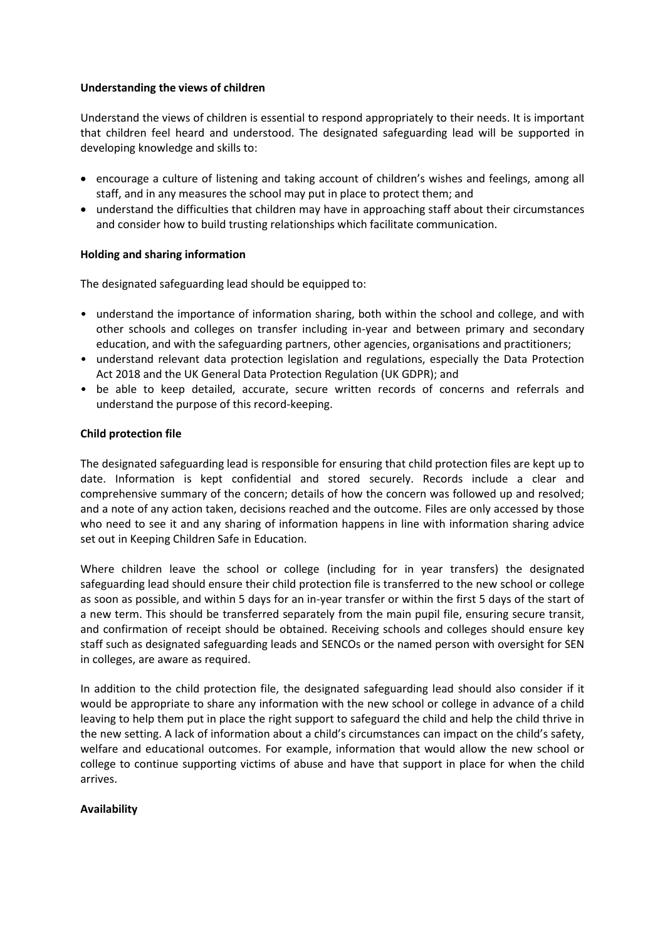### **Understanding the views of children**

Understand the views of children is essential to respond appropriately to their needs. It is important that children feel heard and understood. The designated safeguarding lead will be supported in developing knowledge and skills to:

- encourage a culture of listening and taking account of children's wishes and feelings, among all staff, and in any measures the school may put in place to protect them; and
- understand the difficulties that children may have in approaching staff about their circumstances and consider how to build trusting relationships which facilitate communication.

## **Holding and sharing information**

The designated safeguarding lead should be equipped to:

- understand the importance of information sharing, both within the school and college, and with other schools and colleges on transfer including in-year and between primary and secondary education, and with the safeguarding partners, other agencies, organisations and practitioners;
- understand relevant data protection legislation and regulations, especially the Data Protection Act 2018 and the UK General Data Protection Regulation (UK GDPR); and
- be able to keep detailed, accurate, secure written records of concerns and referrals and understand the purpose of this record-keeping.

## **Child protection file**

The designated safeguarding lead is responsible for ensuring that child protection files are kept up to date. Information is kept confidential and stored securely. Records include a clear and comprehensive summary of the concern; details of how the concern was followed up and resolved; and a note of any action taken, decisions reached and the outcome. Files are only accessed by those who need to see it and any sharing of information happens in line with information sharing advice set out in Keeping Children Safe in Education.

Where children leave the school or college (including for in year transfers) the designated safeguarding lead should ensure their child protection file is transferred to the new school or college as soon as possible, and within 5 days for an in-year transfer or within the first 5 days of the start of a new term. This should be transferred separately from the main pupil file, ensuring secure transit, and confirmation of receipt should be obtained. Receiving schools and colleges should ensure key staff such as designated safeguarding leads and SENCOs or the named person with oversight for SEN in colleges, are aware as required.

In addition to the child protection file, the designated safeguarding lead should also consider if it would be appropriate to share any information with the new school or college in advance of a child leaving to help them put in place the right support to safeguard the child and help the child thrive in the new setting. A lack of information about a child's circumstances can impact on the child's safety, welfare and educational outcomes. For example, information that would allow the new school or college to continue supporting victims of abuse and have that support in place for when the child arrives.

### **Availability**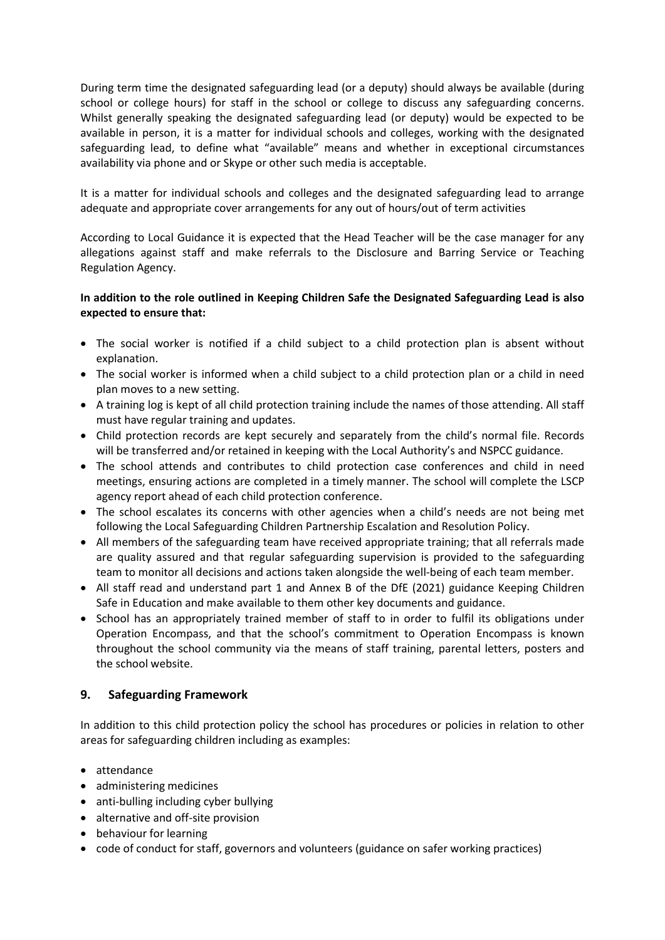During term time the designated safeguarding lead (or a deputy) should always be available (during school or college hours) for staff in the school or college to discuss any safeguarding concerns. Whilst generally speaking the designated safeguarding lead (or deputy) would be expected to be available in person, it is a matter for individual schools and colleges, working with the designated safeguarding lead, to define what "available" means and whether in exceptional circumstances availability via phone and or Skype or other such media is acceptable.

It is a matter for individual schools and colleges and the designated safeguarding lead to arrange adequate and appropriate cover arrangements for any out of hours/out of term activities

According to Local Guidance it is expected that the Head Teacher will be the case manager for any allegations against staff and make referrals to the Disclosure and Barring Service or Teaching Regulation Agency.

## **In addition to the role outlined in Keeping Children Safe the Designated Safeguarding Lead is also expected to ensure that:**

- The social worker is notified if a child subject to a child protection plan is absent without explanation.
- The social worker is informed when a child subject to a child protection plan or a child in need plan moves to a new setting.
- A training log is kept of all child protection training include the names of those attending. All staff must have regular training and updates.
- Child protection records are kept securely and separately from the child's normal file. Records will be transferred and/or retained in keeping with the Local Authority's and NSPCC guidance.
- The school attends and contributes to child protection case conferences and child in need meetings, ensuring actions are completed in a timely manner. The school will complete the LSCP agency report ahead of each child protection conference.
- The school escalates its concerns with other agencies when a child's needs are not being met following the Local Safeguarding Children Partnership Escalation and Resolution Policy.
- All members of the safeguarding team have received appropriate training; that all referrals made are quality assured and that regular safeguarding supervision is provided to the safeguarding team to monitor all decisions and actions taken alongside the well-being of each team member.
- All staff read and understand part 1 and Annex B of the DfE (2021) guidance Keeping Children Safe in Education and make available to them other key documents and guidance.
- School has an appropriately trained member of staff to in order to fulfil its obligations under Operation Encompass, and that the school's commitment to Operation Encompass is known throughout the school community via the means of staff training, parental letters, posters and the school website.

## **9. Safeguarding Framework**

In addition to this child protection policy the school has procedures or policies in relation to other areas for safeguarding children including as examples:

- attendance
- administering medicines
- anti-bulling including cyber bullying
- alternative and off-site provision
- behaviour for learning
- code of conduct for staff, governors and volunteers (guidance on safer working practices)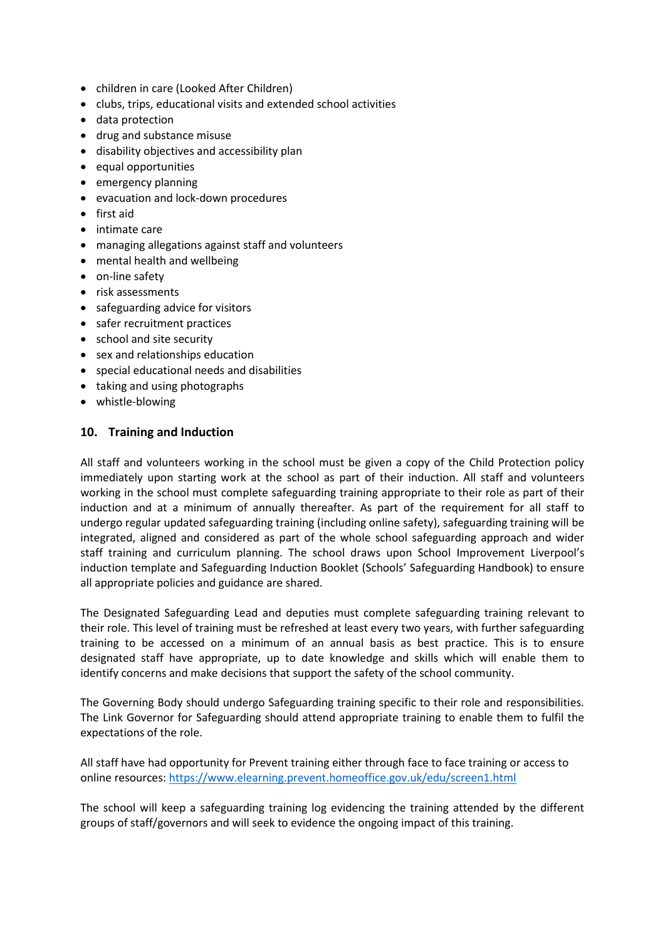- children in care (Looked After Children)
- clubs, trips, educational visits and extended school activities
- data protection
- drug and substance misuse
- disability objectives and accessibility plan
- equal opportunities
- emergency planning
- evacuation and lock-down procedures
- first aid
- intimate care
- managing allegations against staff and volunteers
- mental health and wellbeing
- on-line safety
- risk assessments
- safeguarding advice for visitors
- safer recruitment practices
- school and site security
- sex and relationships education
- special educational needs and disabilities
- taking and using photographs
- whistle-blowing

## **10. Training and Induction**

All staff and volunteers working in the school must be given a copy of the Child Protection policy immediately upon starting work at the school as part of their induction. All staff and volunteers working in the school must complete safeguarding training appropriate to their role as part of their induction and at a minimum of annually thereafter. As part of the requirement for all staff to undergo regular updated safeguarding training (including online safety), safeguarding training will be integrated, aligned and considered as part of the whole school safeguarding approach and wider staff training and curriculum planning. The school draws upon School Improvement Liverpool's induction template and Safeguarding Induction Booklet (Schools' Safeguarding Handbook) to ensure all appropriate policies and guidance are shared.

The Designated Safeguarding Lead and deputies must complete safeguarding training relevant to their role. This level of training must be refreshed at least every two years, with further safeguarding training to be accessed on a minimum of an annual basis as best practice. This is to ensure designated staff have appropriate, up to date knowledge and skills which will enable them to identify concerns and make decisions that support the safety of the school community.

The Governing Body should undergo Safeguarding training specific to their role and responsibilities. The Link Governor for Safeguarding should attend appropriate training to enable them to fulfil the expectations of the role.

All staff have had opportunity for Prevent training either through face to face training or access to online resources:<https://www.elearning.prevent.homeoffice.gov.uk/edu/screen1.html>

The school will keep a safeguarding training log evidencing the training attended by the different groups of staff/governors and will seek to evidence the ongoing impact of this training.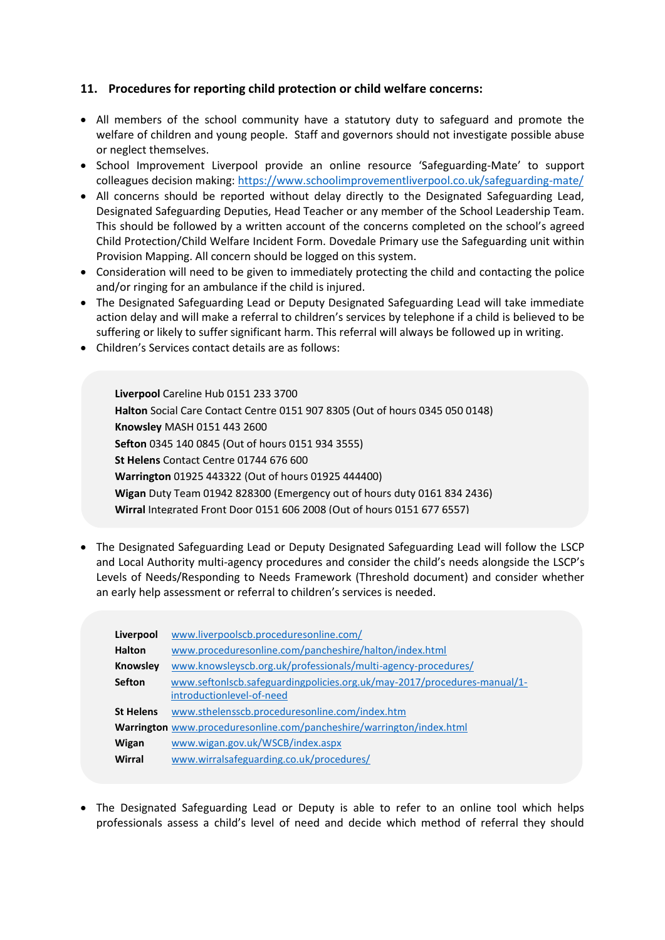# **11. Procedures for reporting child protection or child welfare concerns:**

- All members of the school community have a statutory duty to safeguard and promote the welfare of children and young people. Staff and governors should not investigate possible abuse or neglect themselves.
- School Improvement Liverpool provide an online resource 'Safeguarding-Mate' to support colleagues decision making:<https://www.schoolimprovementliverpool.co.uk/safeguarding-mate/>
- All concerns should be reported without delay directly to the Designated Safeguarding Lead, Designated Safeguarding Deputies, Head Teacher or any member of the School Leadership Team. This should be followed by a written account of the concerns completed on the school's agreed Child Protection/Child Welfare Incident Form. Dovedale Primary use the Safeguarding unit within Provision Mapping. All concern should be logged on this system.
- Consideration will need to be given to immediately protecting the child and contacting the police and/or ringing for an ambulance if the child is injured.
- The Designated Safeguarding Lead or Deputy Designated Safeguarding Lead will take immediate action delay and will make a referral to children's services by telephone if a child is believed to be suffering or likely to suffer significant harm. This referral will always be followed up in writing.
- Children's Services contact details are as follows:

**Liverpool** Careline Hub 0151 233 3700 **Halton** Social Care Contact Centre 0151 907 8305 (Out of hours 0345 050 0148) **Knowsley** MASH 0151 443 2600 **Sefton** 0345 140 0845 (Out of hours 0151 934 3555) **St Helens** Contact Centre 01744 676 600 **Warrington** 01925 443322 (Out of hours 01925 444400) **Wigan** Duty Team 01942 828300 (Emergency out of hours duty 0161 834 2436) **Wirral** Integrated Front Door 0151 606 2008 (Out of hours 0151 677 6557)

• The Designated Safeguarding Lead or Deputy Designated Safeguarding Lead will follow the LSCP and Local Authority multi-agency procedures and consider the child's needs alongside the LSCP's Levels of Needs/Responding to Needs Framework (Threshold document) and consider whether an early help assessment or referral to children's services is needed.

| Liverpool        | www.liverpoolscb.proceduresonline.com/                                                                |
|------------------|-------------------------------------------------------------------------------------------------------|
| <b>Halton</b>    | www.proceduresonline.com/pancheshire/halton/index.html                                                |
| Knowsley         | www.knowsleyscb.org.uk/professionals/multi-agency-procedures/                                         |
| <b>Sefton</b>    | www.seftonlscb.safeguardingpolicies.org.uk/may-2017/procedures-manual/1-<br>introductionlevel-of-need |
| <b>St Helens</b> | www.sthelensscb.proceduresonline.com/index.htm                                                        |
|                  | Warrington www.proceduresonline.com/pancheshire/warrington/index.html                                 |
| Wigan            | www.wigan.gov.uk/WSCB/index.aspx                                                                      |
| Wirral           | www.wirralsafeguarding.co.uk/procedures/                                                              |

• The Designated Safeguarding Lead or Deputy is able to refer to an online tool which helps professionals assess a child's level of need and decide which method of referral they should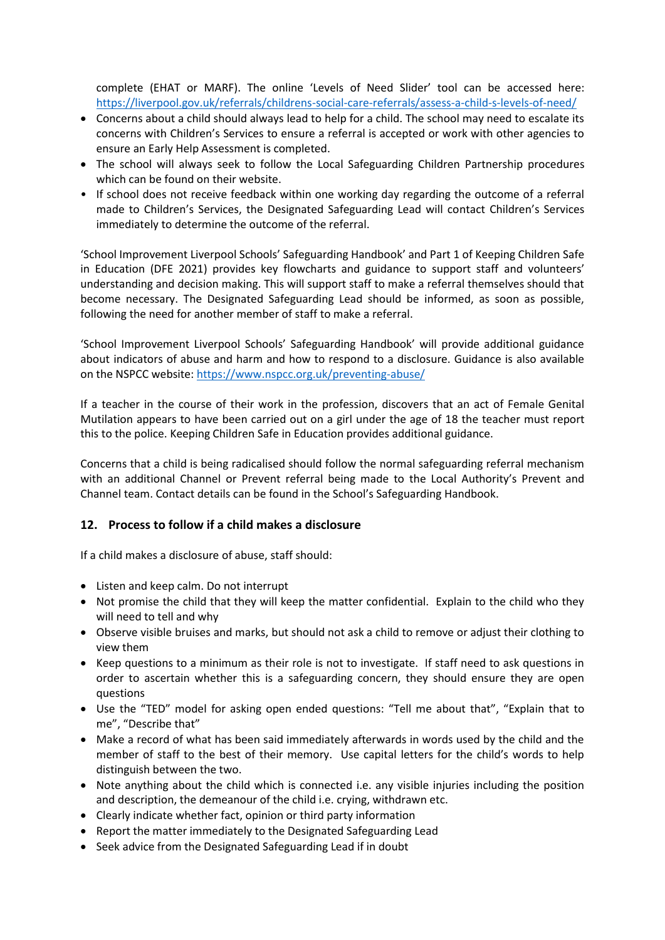complete (EHAT or MARF). The online 'Levels of Need Slider' tool can be accessed here: <https://liverpool.gov.uk/referrals/childrens-social-care-referrals/assess-a-child-s-levels-of-need/>

- Concerns about a child should always lead to help for a child. The school may need to escalate its concerns with Children's Services to ensure a referral is accepted or work with other agencies to ensure an Early Help Assessment is completed.
- The school will always seek to follow the Local Safeguarding Children Partnership procedures which can be found on their website.
- If school does not receive feedback within one working day regarding the outcome of a referral made to Children's Services, the Designated Safeguarding Lead will contact Children's Services immediately to determine the outcome of the referral.

'School Improvement Liverpool Schools' Safeguarding Handbook' and Part 1 of Keeping Children Safe in Education (DFE 2021) provides key flowcharts and guidance to support staff and volunteers' understanding and decision making. This will support staff to make a referral themselves should that become necessary. The Designated Safeguarding Lead should be informed, as soon as possible, following the need for another member of staff to make a referral.

'School Improvement Liverpool Schools' Safeguarding Handbook' will provide additional guidance about indicators of abuse and harm and how to respond to a disclosure. Guidance is also available on the NSPCC website:<https://www.nspcc.org.uk/preventing-abuse/>

If a teacher in the course of their work in the profession, discovers that an act of Female Genital Mutilation appears to have been carried out on a girl under the age of 18 the teacher must report this to the police. Keeping Children Safe in Education provides additional guidance.

Concerns that a child is being radicalised should follow the normal safeguarding referral mechanism with an additional Channel or Prevent referral being made to the Local Authority's Prevent and Channel team. Contact details can be found in the School's Safeguarding Handbook.

## **12. Process to follow if a child makes a disclosure**

If a child makes a disclosure of abuse, staff should:

- Listen and keep calm. Do not interrupt
- Not promise the child that they will keep the matter confidential. Explain to the child who they will need to tell and why
- Observe visible bruises and marks, but should not ask a child to remove or adjust their clothing to view them
- Keep questions to a minimum as their role is not to investigate. If staff need to ask questions in order to ascertain whether this is a safeguarding concern, they should ensure they are open questions
- Use the "TED" model for asking open ended questions: "Tell me about that", "Explain that to me", "Describe that"
- Make a record of what has been said immediately afterwards in words used by the child and the member of staff to the best of their memory. Use capital letters for the child's words to help distinguish between the two.
- Note anything about the child which is connected i.e. any visible injuries including the position and description, the demeanour of the child i.e. crying, withdrawn etc.
- Clearly indicate whether fact, opinion or third party information
- Report the matter immediately to the Designated Safeguarding Lead
- Seek advice from the Designated Safeguarding Lead if in doubt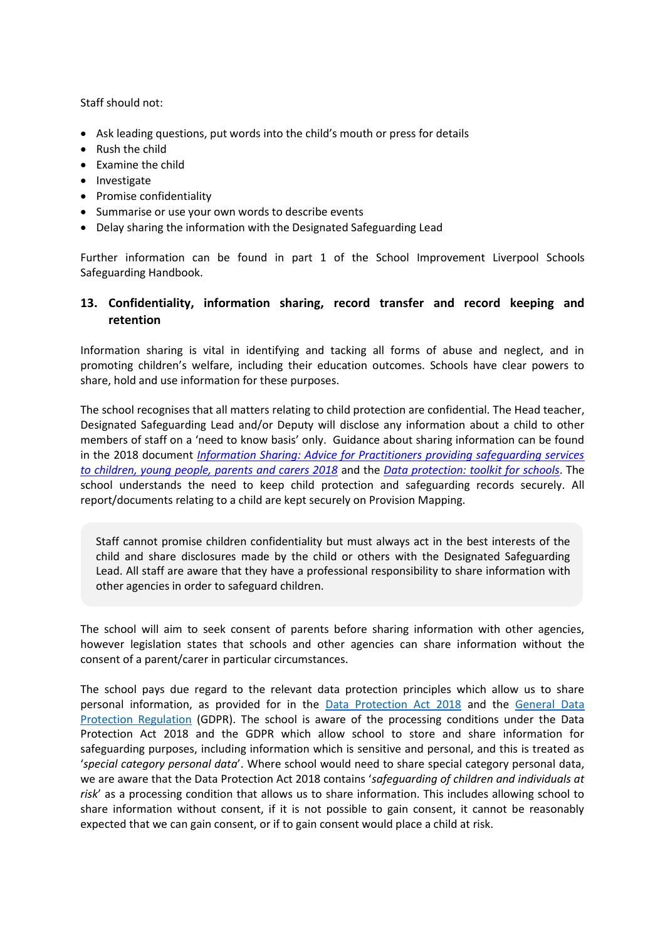Staff should not:

- Ask leading questions, put words into the child's mouth or press for details
- Rush the child
- Examine the child
- Investigate
- Promise confidentiality
- Summarise or use your own words to describe events
- Delay sharing the information with the Designated Safeguarding Lead

Further information can be found in part 1 of the School Improvement Liverpool Schools Safeguarding Handbook.

# **13. Confidentiality, information sharing, record transfer and record keeping and retention**

Information sharing is vital in identifying and tacking all forms of abuse and neglect, and in promoting children's welfare, including their education outcomes. Schools have clear powers to share, hold and use information for these purposes.

The school recognises that all matters relating to child protection are confidential. The Head teacher, Designated Safeguarding Lead and/or Deputy will disclose any information about a child to other members of staff on a 'need to know basis' only. Guidance about sharing information can be found in the 2018 document *[Information Sharing: Advice for Practitioners providing safeguarding services](https://www.gov.uk/government/publications/safeguarding-practitioners-information-sharing-advice)  [to children, young people, parents and carers 2018](https://www.gov.uk/government/publications/safeguarding-practitioners-information-sharing-advice)* and the *[Data protection: toolkit for schools](file://///latco/sil/data/school%20effectiveness/Safeguarding%20and%20Inclusion/Safeguarding%20only/Schools)*. The school understands the need to keep child protection and safeguarding records securely. All report/documents relating to a child are kept securely on Provision Mapping.

Staff cannot promise children confidentiality but must always act in the best interests of the child and share disclosures made by the child or others with the Designated Safeguarding Lead. All staff are aware that they have a professional responsibility to share information with other agencies in order to safeguard children.

The school will aim to seek consent of parents before sharing information with other agencies, however legislation states that schools and other agencies can share information without the consent of a parent/carer in particular circumstances.

The school pays due regard to the relevant data protection principles which allow us to share personal information, as provided for in the [Data Protection Act 2018](http://www.legislation.gov.uk/ukpga/2018/12/contents/enacted) and the [General Data](https://www.gov.uk/government/publications/guide-to-the-general-data-protection-regulation)  [Protection Regulation](https://www.gov.uk/government/publications/guide-to-the-general-data-protection-regulation) (GDPR). The school is aware of the processing conditions under the Data Protection Act 2018 and the GDPR which allow school to store and share information for safeguarding purposes, including information which is sensitive and personal, and this is treated as '*special category personal data*'. Where school would need to share special category personal data, we are aware that the Data Protection Act 2018 contains '*safeguarding of children and individuals at risk*' as a processing condition that allows us to share information. This includes allowing school to share information without consent, if it is not possible to gain consent, it cannot be reasonably expected that we can gain consent, or if to gain consent would place a child at risk.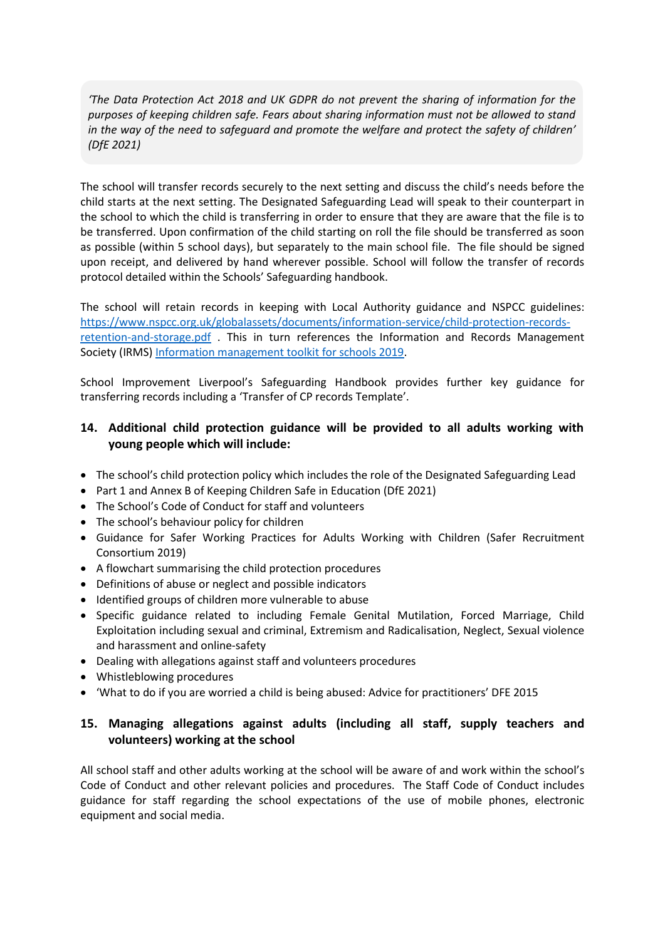*'The Data Protection Act 2018 and UK GDPR do not prevent the sharing of information for the purposes of keeping children safe. Fears about sharing information must not be allowed to stand in the way of the need to safequard and promote the welfare and protect the safety of children' (DfE 2021)*

The school will transfer records securely to the next setting and discuss the child's needs before the child starts at the next setting. The Designated Safeguarding Lead will speak to their counterpart in the school to which the child is transferring in order to ensure that they are aware that the file is to be transferred. Upon confirmation of the child starting on roll the file should be transferred as soon as possible (within 5 school days), but separately to the main school file. The file should be signed upon receipt, and delivered by hand wherever possible. School will follow the transfer of records protocol detailed within the Schools' Safeguarding handbook.

The school will retain records in keeping with Local Authority guidance and NSPCC guidelines: [https://www.nspcc.org.uk/globalassets/documents/information-service/child-protection-records](https://www.nspcc.org.uk/globalassets/documents/information-service/child-protection-records-retention-and-storage.pdf)[retention-and-storage.pdf](https://www.nspcc.org.uk/globalassets/documents/information-service/child-protection-records-retention-and-storage.pdf) . This in turn references the Information and Records Management Society (IRMS) [Information management toolkit for schools 2019.](https://irms.org.uk/page/SchoolsToolkit)

School Improvement Liverpool's Safeguarding Handbook provides further key guidance for transferring records including a 'Transfer of CP records Template'.

# **14. Additional child protection guidance will be provided to all adults working with young people which will include:**

- The school's child protection policy which includes the role of the Designated Safeguarding Lead
- Part 1 and Annex B of Keeping Children Safe in Education (DfE 2021)
- The School's Code of Conduct for staff and volunteers
- The school's behaviour policy for children
- Guidance for Safer Working Practices for Adults Working with Children (Safer Recruitment Consortium 2019)
- A flowchart summarising the child protection procedures
- Definitions of abuse or neglect and possible indicators
- Identified groups of children more vulnerable to abuse
- Specific guidance related to including Female Genital Mutilation, Forced Marriage, Child Exploitation including sexual and criminal, Extremism and Radicalisation, Neglect, Sexual violence and harassment and online-safety
- Dealing with allegations against staff and volunteers procedures
- Whistleblowing procedures
- 'What to do if you are worried a child is being abused: Advice for practitioners' DFE 2015

# **15. Managing allegations against adults (including all staff, supply teachers and volunteers) working at the school**

All school staff and other adults working at the school will be aware of and work within the school's Code of Conduct and other relevant policies and procedures. The Staff Code of Conduct includes guidance for staff regarding the school expectations of the use of mobile phones, electronic equipment and social media.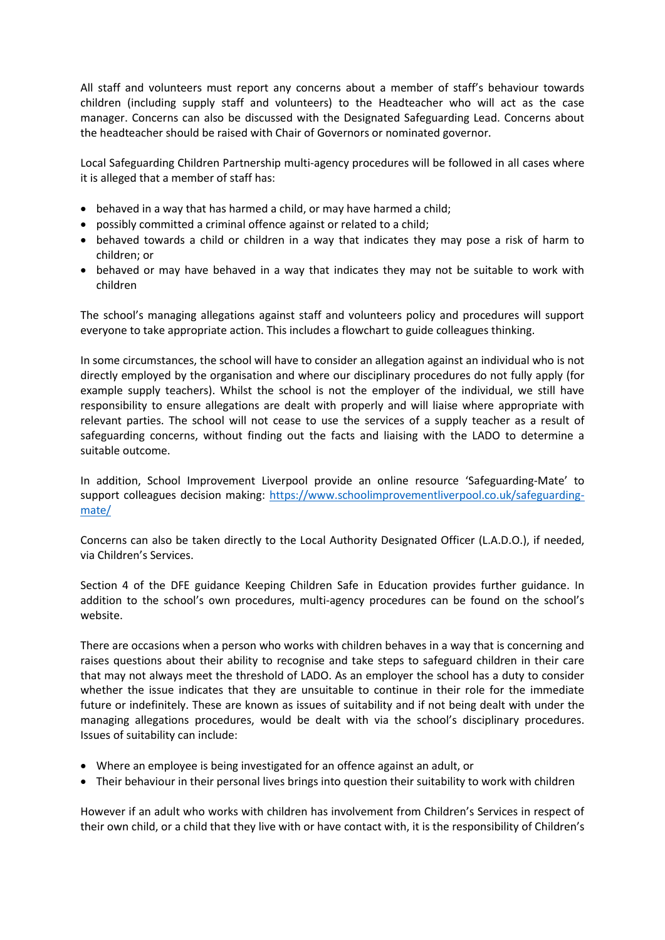All staff and volunteers must report any concerns about a member of staff's behaviour towards children (including supply staff and volunteers) to the Headteacher who will act as the case manager. Concerns can also be discussed with the Designated Safeguarding Lead. Concerns about the headteacher should be raised with Chair of Governors or nominated governor.

Local Safeguarding Children Partnership multi-agency procedures will be followed in all cases where it is alleged that a member of staff has:

- behaved in a way that has harmed a child, or may have harmed a child;
- possibly committed a criminal offence against or related to a child;
- behaved towards a child or children in a way that indicates they may pose a risk of harm to children; or
- behaved or may have behaved in a way that indicates they may not be suitable to work with children

The school's managing allegations against staff and volunteers policy and procedures will support everyone to take appropriate action. This includes a flowchart to guide colleagues thinking.

In some circumstances, the school will have to consider an allegation against an individual who is not directly employed by the organisation and where our disciplinary procedures do not fully apply (for example supply teachers). Whilst the school is not the employer of the individual, we still have responsibility to ensure allegations are dealt with properly and will liaise where appropriate with relevant parties. The school will not cease to use the services of a supply teacher as a result of safeguarding concerns, without finding out the facts and liaising with the LADO to determine a suitable outcome.

In addition, School Improvement Liverpool provide an online resource 'Safeguarding-Mate' to support colleagues decision making: [https://www.schoolimprovementliverpool.co.uk/safeguarding](https://www.schoolimprovementliverpool.co.uk/safeguarding-mate/)[mate/](https://www.schoolimprovementliverpool.co.uk/safeguarding-mate/)

Concerns can also be taken directly to the Local Authority Designated Officer (L.A.D.O.), if needed, via Children's Services.

Section 4 of the DFE guidance Keeping Children Safe in Education provides further guidance. In addition to the school's own procedures, multi-agency procedures can be found on the school's website.

There are occasions when a person who works with children behaves in a way that is concerning and raises questions about their ability to recognise and take steps to safeguard children in their care that may not always meet the threshold of LADO. As an employer the school has a duty to consider whether the issue indicates that they are unsuitable to continue in their role for the immediate future or indefinitely. These are known as issues of suitability and if not being dealt with under the managing allegations procedures, would be dealt with via the school's disciplinary procedures. Issues of suitability can include:

- Where an employee is being investigated for an offence against an adult, or
- Their behaviour in their personal lives brings into question their suitability to work with children

However if an adult who works with children has involvement from Children's Services in respect of their own child, or a child that they live with or have contact with, it is the responsibility of Children's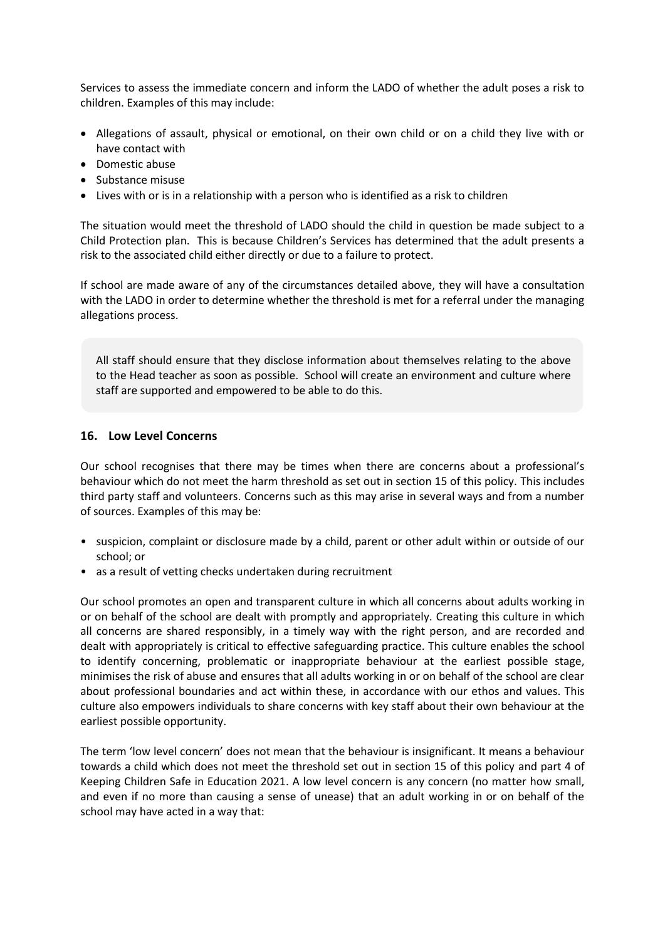Services to assess the immediate concern and inform the LADO of whether the adult poses a risk to children. Examples of this may include:

- Allegations of assault, physical or emotional, on their own child or on a child they live with or have contact with
- Domestic abuse
- Substance misuse
- Lives with or is in a relationship with a person who is identified as a risk to children

The situation would meet the threshold of LADO should the child in question be made subject to a Child Protection plan. This is because Children's Services has determined that the adult presents a risk to the associated child either directly or due to a failure to protect.

If school are made aware of any of the circumstances detailed above, they will have a consultation with the LADO in order to determine whether the threshold is met for a referral under the managing allegations process.

All staff should ensure that they disclose information about themselves relating to the above to the Head teacher as soon as possible. School will create an environment and culture where staff are supported and empowered to be able to do this.

### **16. Low Level Concerns**

Our school recognises that there may be times when there are concerns about a professional's behaviour which do not meet the harm threshold as set out in section 15 of this policy. This includes third party staff and volunteers. Concerns such as this may arise in several ways and from a number of sources. Examples of this may be:

- suspicion, complaint or disclosure made by a child, parent or other adult within or outside of our school; or
- as a result of vetting checks undertaken during recruitment

Our school promotes an open and transparent culture in which all concerns about adults working in or on behalf of the school are dealt with promptly and appropriately. Creating this culture in which all concerns are shared responsibly, in a timely way with the right person, and are recorded and dealt with appropriately is critical to effective safeguarding practice. This culture enables the school to identify concerning, problematic or inappropriate behaviour at the earliest possible stage, minimises the risk of abuse and ensures that all adults working in or on behalf of the school are clear about professional boundaries and act within these, in accordance with our ethos and values. This culture also empowers individuals to share concerns with key staff about their own behaviour at the earliest possible opportunity.

The term 'low level concern' does not mean that the behaviour is insignificant. It means a behaviour towards a child which does not meet the threshold set out in section 15 of this policy and part 4 of Keeping Children Safe in Education 2021. A low level concern is any concern (no matter how small, and even if no more than causing a sense of unease) that an adult working in or on behalf of the school may have acted in a way that: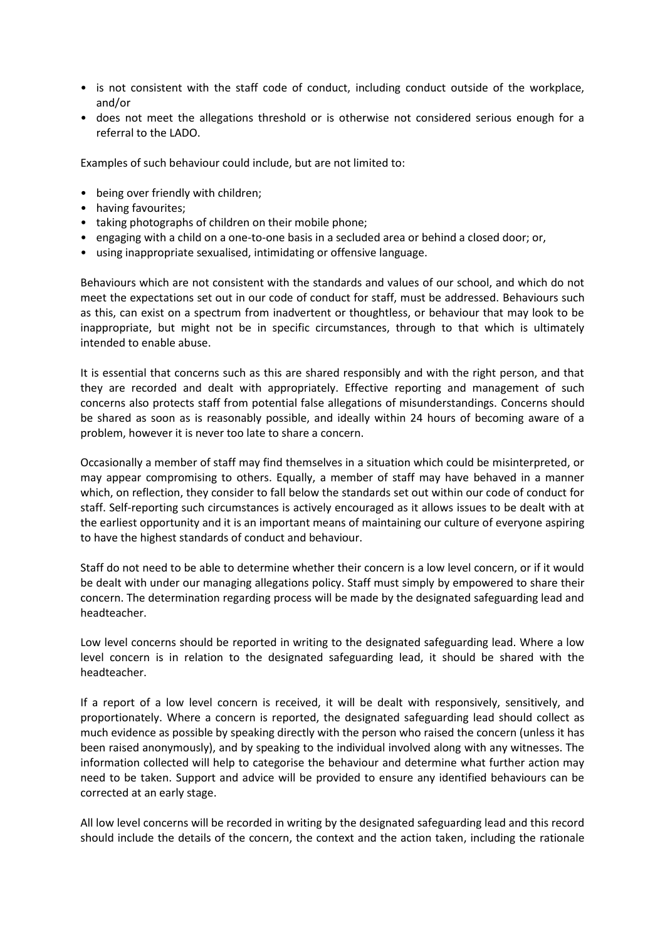- is not consistent with the staff code of conduct, including conduct outside of the workplace, and/or
- does not meet the allegations threshold or is otherwise not considered serious enough for a referral to the LADO.

Examples of such behaviour could include, but are not limited to:

- being over friendly with children;
- having favourites;
- taking photographs of children on their mobile phone;
- engaging with a child on a one-to-one basis in a secluded area or behind a closed door; or,
- using inappropriate sexualised, intimidating or offensive language.

Behaviours which are not consistent with the standards and values of our school, and which do not meet the expectations set out in our code of conduct for staff, must be addressed. Behaviours such as this, can exist on a spectrum from inadvertent or thoughtless, or behaviour that may look to be inappropriate, but might not be in specific circumstances, through to that which is ultimately intended to enable abuse.

It is essential that concerns such as this are shared responsibly and with the right person, and that they are recorded and dealt with appropriately. Effective reporting and management of such concerns also protects staff from potential false allegations of misunderstandings. Concerns should be shared as soon as is reasonably possible, and ideally within 24 hours of becoming aware of a problem, however it is never too late to share a concern.

Occasionally a member of staff may find themselves in a situation which could be misinterpreted, or may appear compromising to others. Equally, a member of staff may have behaved in a manner which, on reflection, they consider to fall below the standards set out within our code of conduct for staff. Self-reporting such circumstances is actively encouraged as it allows issues to be dealt with at the earliest opportunity and it is an important means of maintaining our culture of everyone aspiring to have the highest standards of conduct and behaviour.

Staff do not need to be able to determine whether their concern is a low level concern, or if it would be dealt with under our managing allegations policy. Staff must simply by empowered to share their concern. The determination regarding process will be made by the designated safeguarding lead and headteacher.

Low level concerns should be reported in writing to the designated safeguarding lead. Where a low level concern is in relation to the designated safeguarding lead, it should be shared with the headteacher.

If a report of a low level concern is received, it will be dealt with responsively, sensitively, and proportionately. Where a concern is reported, the designated safeguarding lead should collect as much evidence as possible by speaking directly with the person who raised the concern (unless it has been raised anonymously), and by speaking to the individual involved along with any witnesses. The information collected will help to categorise the behaviour and determine what further action may need to be taken. Support and advice will be provided to ensure any identified behaviours can be corrected at an early stage.

All low level concerns will be recorded in writing by the designated safeguarding lead and this record should include the details of the concern, the context and the action taken, including the rationale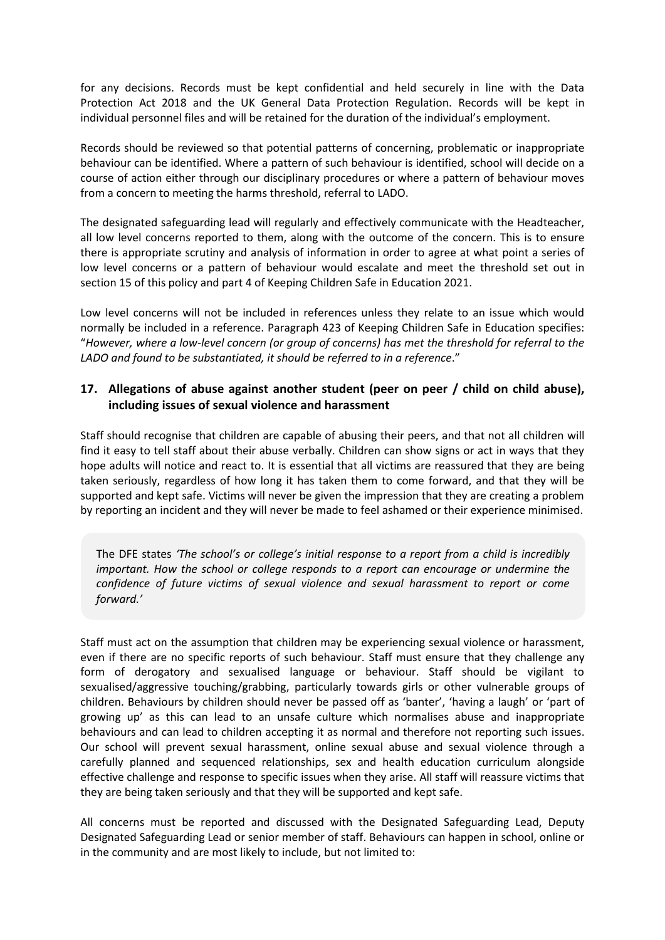for any decisions. Records must be kept confidential and held securely in line with the Data Protection Act 2018 and the UK General Data Protection Regulation. Records will be kept in individual personnel files and will be retained for the duration of the individual's employment.

Records should be reviewed so that potential patterns of concerning, problematic or inappropriate behaviour can be identified. Where a pattern of such behaviour is identified, school will decide on a course of action either through our disciplinary procedures or where a pattern of behaviour moves from a concern to meeting the harms threshold, referral to LADO.

The designated safeguarding lead will regularly and effectively communicate with the Headteacher, all low level concerns reported to them, along with the outcome of the concern. This is to ensure there is appropriate scrutiny and analysis of information in order to agree at what point a series of low level concerns or a pattern of behaviour would escalate and meet the threshold set out in section 15 of this policy and part 4 of Keeping Children Safe in Education 2021.

Low level concerns will not be included in references unless they relate to an issue which would normally be included in a reference. Paragraph 423 of Keeping Children Safe in Education specifies: "*However, where a low-level concern (or group of concerns) has met the threshold for referral to the LADO and found to be substantiated, it should be referred to in a reference*."

# **17. Allegations of abuse against another student (peer on peer / child on child abuse), including issues of sexual violence and harassment**

Staff should recognise that children are capable of abusing their peers, and that not all children will find it easy to tell staff about their abuse verbally. Children can show signs or act in ways that they hope adults will notice and react to. It is essential that all victims are reassured that they are being taken seriously, regardless of how long it has taken them to come forward, and that they will be supported and kept safe. Victims will never be given the impression that they are creating a problem by reporting an incident and they will never be made to feel ashamed or their experience minimised.

The DFE states *'The school's or college's initial response to a report from a child is incredibly important. How the school or college responds to a report can encourage or undermine the confidence of future victims of sexual violence and sexual harassment to report or come forward.'*

Staff must act on the assumption that children may be experiencing sexual violence or harassment, even if there are no specific reports of such behaviour. Staff must ensure that they challenge any form of derogatory and sexualised language or behaviour. Staff should be vigilant to sexualised/aggressive touching/grabbing, particularly towards girls or other vulnerable groups of children. Behaviours by children should never be passed off as 'banter', 'having a laugh' or 'part of growing up' as this can lead to an unsafe culture which normalises abuse and inappropriate behaviours and can lead to children accepting it as normal and therefore not reporting such issues. Our school will prevent sexual harassment, online sexual abuse and sexual violence through a carefully planned and sequenced relationships, sex and health education curriculum alongside effective challenge and response to specific issues when they arise. All staff will reassure victims that they are being taken seriously and that they will be supported and kept safe.

All concerns must be reported and discussed with the Designated Safeguarding Lead, Deputy Designated Safeguarding Lead or senior member of staff. Behaviours can happen in school, online or in the community and are most likely to include, but not limited to: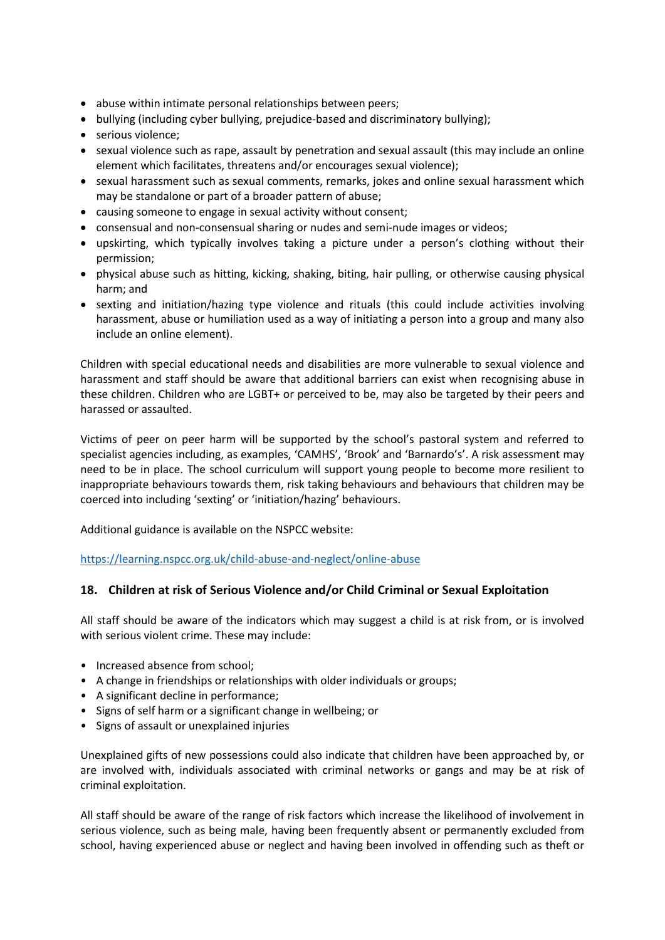- abuse within intimate personal relationships between peers;
- bullying (including cyber bullying, prejudice-based and discriminatory bullying);
- serious violence;
- sexual violence such as rape, assault by penetration and sexual assault (this may include an online element which facilitates, threatens and/or encourages sexual violence);
- sexual harassment such as sexual comments, remarks, jokes and online sexual harassment which may be standalone or part of a broader pattern of abuse;
- causing someone to engage in sexual activity without consent;
- consensual and non-consensual sharing or nudes and semi-nude images or videos;
- upskirting, which typically involves taking a picture under a person's clothing without their permission;
- physical abuse such as hitting, kicking, shaking, biting, hair pulling, or otherwise causing physical harm; and
- sexting and initiation/hazing type violence and rituals (this could include activities involving harassment, abuse or humiliation used as a way of initiating a person into a group and many also include an online element).

Children with special educational needs and disabilities are more vulnerable to sexual violence and harassment and staff should be aware that additional barriers can exist when recognising abuse in these children. Children who are LGBT+ or perceived to be, may also be targeted by their peers and harassed or assaulted.

Victims of peer on peer harm will be supported by the school's pastoral system and referred to specialist agencies including, as examples, 'CAMHS', 'Brook' and 'Barnardo's'. A risk assessment may need to be in place. The school curriculum will support young people to become more resilient to inappropriate behaviours towards them, risk taking behaviours and behaviours that children may be coerced into including 'sexting' or 'initiation/hazing' behaviours.

Additional guidance is available on the NSPCC website:

https://learning.nspcc.org.uk/child-abuse-and-neglect/online-abuse

## **18. Children at risk of Serious Violence and/or Child Criminal or Sexual Exploitation**

All staff should be aware of the indicators which may suggest a child is at risk from, or is involved with serious violent crime. These may include:

- Increased absence from school;
- A change in friendships or relationships with older individuals or groups;
- A significant decline in performance;
- Signs of self harm or a significant change in wellbeing; or
- Signs of assault or unexplained injuries

Unexplained gifts of new possessions could also indicate that children have been approached by, or are involved with, individuals associated with criminal networks or gangs and may be at risk of criminal exploitation.

All staff should be aware of the range of risk factors which increase the likelihood of involvement in serious violence, such as being male, having been frequently absent or permanently excluded from school, having experienced abuse or neglect and having been involved in offending such as theft or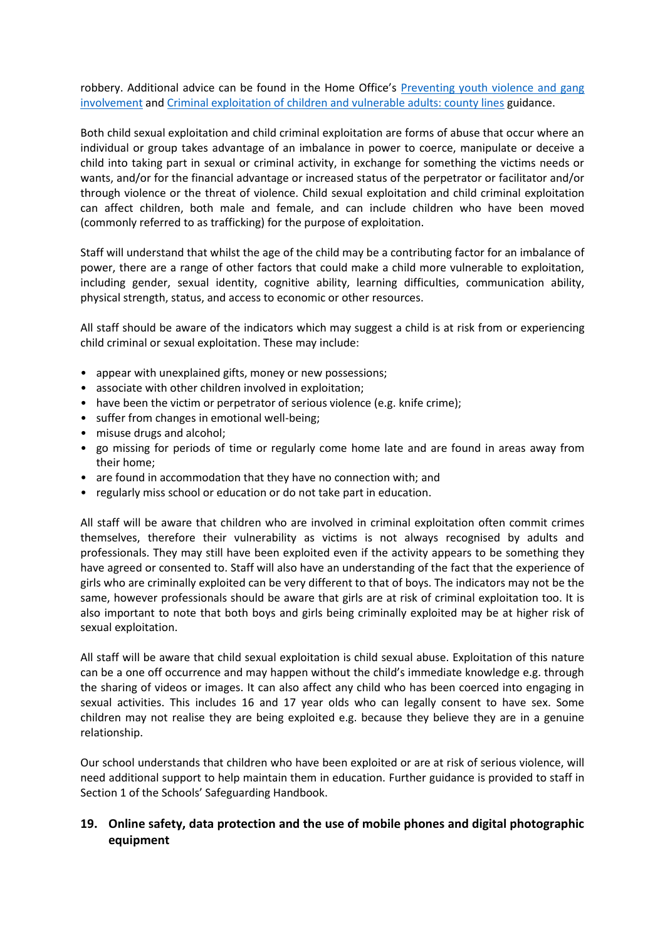robbery. Additional advice can be found in the Home Office's [Preventing youth violence and gang](https://www.gov.uk/government/publications/advice-to-schools-and-colleges-on-gangs-and-youth-violence)  [involvement](https://www.gov.uk/government/publications/advice-to-schools-and-colleges-on-gangs-and-youth-violence) an[d Criminal exploitation of children and vulnerable adults: county lines](https://www.gov.uk/government/publications/criminal-exploitation-of-children-and-vulnerable-adults-county-lines) guidance.

Both child sexual exploitation and child criminal exploitation are forms of abuse that occur where an individual or group takes advantage of an imbalance in power to coerce, manipulate or deceive a child into taking part in sexual or criminal activity, in exchange for something the victims needs or wants, and/or for the financial advantage or increased status of the perpetrator or facilitator and/or through violence or the threat of violence. Child sexual exploitation and child criminal exploitation can affect children, both male and female, and can include children who have been moved (commonly referred to as trafficking) for the purpose of exploitation.

Staff will understand that whilst the age of the child may be a contributing factor for an imbalance of power, there are a range of other factors that could make a child more vulnerable to exploitation, including gender, sexual identity, cognitive ability, learning difficulties, communication ability, physical strength, status, and access to economic or other resources.

All staff should be aware of the indicators which may suggest a child is at risk from or experiencing child criminal or sexual exploitation. These may include:

- appear with unexplained gifts, money or new possessions;
- associate with other children involved in exploitation;
- have been the victim or perpetrator of serious violence (e.g. knife crime);
- suffer from changes in emotional well-being;
- misuse drugs and alcohol;
- go missing for periods of time or regularly come home late and are found in areas away from their home;
- are found in accommodation that they have no connection with; and
- regularly miss school or education or do not take part in education.

All staff will be aware that children who are involved in criminal exploitation often commit crimes themselves, therefore their vulnerability as victims is not always recognised by adults and professionals. They may still have been exploited even if the activity appears to be something they have agreed or consented to. Staff will also have an understanding of the fact that the experience of girls who are criminally exploited can be very different to that of boys. The indicators may not be the same, however professionals should be aware that girls are at risk of criminal exploitation too. It is also important to note that both boys and girls being criminally exploited may be at higher risk of sexual exploitation.

All staff will be aware that child sexual exploitation is child sexual abuse. Exploitation of this nature can be a one off occurrence and may happen without the child's immediate knowledge e.g. through the sharing of videos or images. It can also affect any child who has been coerced into engaging in sexual activities. This includes 16 and 17 year olds who can legally consent to have sex. Some children may not realise they are being exploited e.g. because they believe they are in a genuine relationship.

Our school understands that children who have been exploited or are at risk of serious violence, will need additional support to help maintain them in education. Further guidance is provided to staff in Section 1 of the Schools' Safeguarding Handbook.

# **19. Online safety, data protection and the use of mobile phones and digital photographic equipment**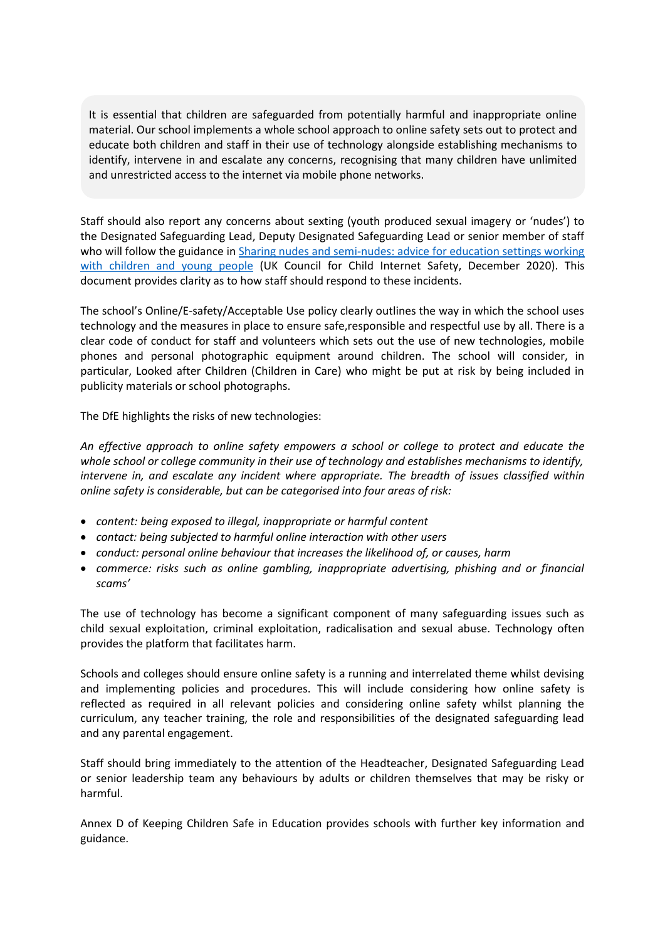It is essential that children are safeguarded from potentially harmful and inappropriate online material. Our school implements a whole school approach to online safety sets out to protect and educate both children and staff in their use of technology alongside establishing mechanisms to identify, intervene in and escalate any concerns, recognising that many children have unlimited and unrestricted access to the internet via mobile phone networks.

Staff should also report any concerns about sexting (youth produced sexual imagery or 'nudes') to the Designated Safeguarding Lead, Deputy Designated Safeguarding Lead or senior member of staff who will follow the guidance i[n Sharing nudes and semi-nudes: advice for education settings working](https://www.gov.uk/government/publications/sharing-nudes-and-semi-nudes-advice-for-education-settings-working-with-children-and-young-people)  [with children and young people](https://www.gov.uk/government/publications/sharing-nudes-and-semi-nudes-advice-for-education-settings-working-with-children-and-young-people) (UK Council for Child Internet Safety, December 2020). This document provides clarity as to how staff should respond to these incidents.

The school's Online/E-safety/Acceptable Use policy clearly outlines the way in which the school uses technology and the measures in place to ensure safe,responsible and respectful use by all. There is a clear code of conduct for staff and volunteers which sets out the use of new technologies, mobile phones and personal photographic equipment around children. The school will consider, in particular, Looked after Children (Children in Care) who might be put at risk by being included in publicity materials or school photographs.

The DfE highlights the risks of new technologies:

*An effective approach to online safety empowers a school or college to protect and educate the whole school or college community in their use of technology and establishes mechanisms to identify, intervene in, and escalate any incident where appropriate. The breadth of issues classified within online safety is considerable, but can be categorised into four areas of risk:*

- *content: being exposed to illegal, inappropriate or harmful content*
- *contact: being subjected to harmful online interaction with other users*
- *conduct: personal online behaviour that increases the likelihood of, or causes, harm*
- *commerce: risks such as online gambling, inappropriate advertising, phishing and or financial scams'*

The use of technology has become a significant component of many safeguarding issues such as child sexual exploitation, criminal exploitation, radicalisation and sexual abuse. Technology often provides the platform that facilitates harm.

Schools and colleges should ensure online safety is a running and interrelated theme whilst devising and implementing policies and procedures. This will include considering how online safety is reflected as required in all relevant policies and considering online safety whilst planning the curriculum, any teacher training, the role and responsibilities of the designated safeguarding lead and any parental engagement.

Staff should bring immediately to the attention of the Headteacher, Designated Safeguarding Lead or senior leadership team any behaviours by adults or children themselves that may be risky or harmful.

Annex D of Keeping Children Safe in Education provides schools with further key information and guidance.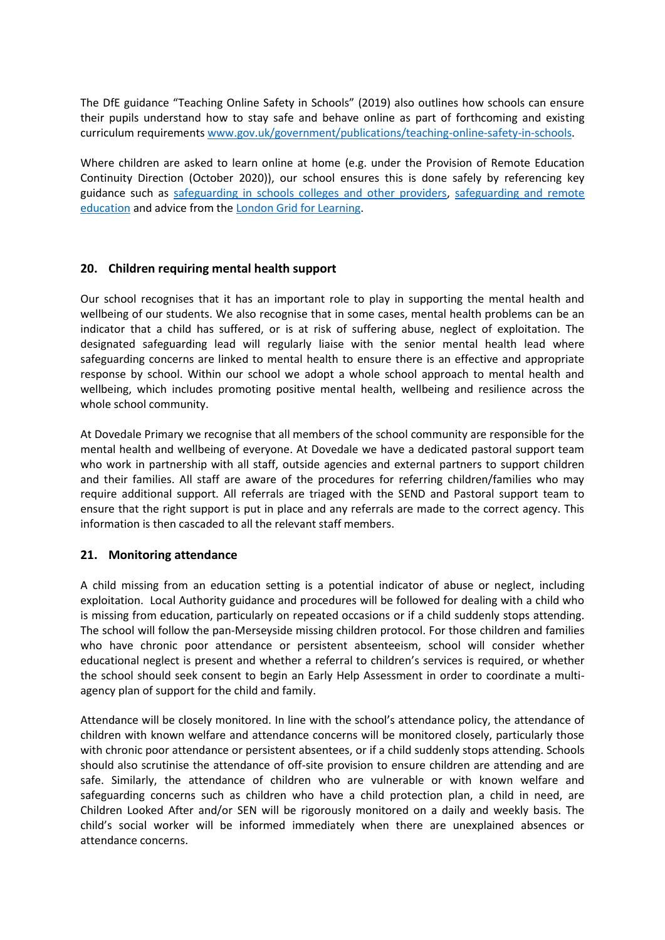The DfE guidance "Teaching Online Safety in Schools" (2019) also outlines how schools can ensure their pupils understand how to stay safe and behave online as part of forthcoming and existing curriculum requirements [www.gov.uk/government/publications/teaching-online-safety-in-schools.](http://www.gov.uk/government/publications/teaching-online-safety-in-schools)

Where children are asked to learn online at home (e.g. under the Provision of Remote Education Continuity Direction (October 2020)), our school ensures this is done safely by referencing key guidance such as [safeguarding in schools colleges and other providers,](https://www.gov.uk/government/publications/actions-for-schools-during-the-coronavirus-outbreak/guidance-for-full-opening-schools#res) [safeguarding and remote](https://www.gov.uk/guidance/safeguarding-and-remote-education-during-coronavirus-covid-19)  [education](https://www.gov.uk/guidance/safeguarding-and-remote-education-during-coronavirus-covid-19) and advice from the [London Grid for Learning.](https://coronavirus.lgfl.net/safeguarding)

## **20. Children requiring mental health support**

Our school recognises that it has an important role to play in supporting the mental health and wellbeing of our students. We also recognise that in some cases, mental health problems can be an indicator that a child has suffered, or is at risk of suffering abuse, neglect of exploitation. The designated safeguarding lead will regularly liaise with the senior mental health lead where safeguarding concerns are linked to mental health to ensure there is an effective and appropriate response by school. Within our school we adopt a whole school approach to mental health and wellbeing, which includes promoting positive mental health, wellbeing and resilience across the whole school community.

At Dovedale Primary we recognise that all members of the school community are responsible for the mental health and wellbeing of everyone. At Dovedale we have a dedicated pastoral support team who work in partnership with all staff, outside agencies and external partners to support children and their families. All staff are aware of the procedures for referring children/families who may require additional support. All referrals are triaged with the SEND and Pastoral support team to ensure that the right support is put in place and any referrals are made to the correct agency. This information is then cascaded to all the relevant staff members.

# **21. Monitoring attendance**

A child missing from an education setting is a potential indicator of abuse or neglect, including exploitation. Local Authority guidance and procedures will be followed for dealing with a child who is missing from education, particularly on repeated occasions or if a child suddenly stops attending. The school will follow the pan-Merseyside missing children protocol. For those children and families who have chronic poor attendance or persistent absenteeism, school will consider whether educational neglect is present and whether a referral to children's services is required, or whether the school should seek consent to begin an Early Help Assessment in order to coordinate a multiagency plan of support for the child and family.

Attendance will be closely monitored. In line with the school's attendance policy, the attendance of children with known welfare and attendance concerns will be monitored closely, particularly those with chronic poor attendance or persistent absentees, or if a child suddenly stops attending. Schools should also scrutinise the attendance of off-site provision to ensure children are attending and are safe. Similarly, the attendance of children who are vulnerable or with known welfare and safeguarding concerns such as children who have a child protection plan, a child in need, are Children Looked After and/or SEN will be rigorously monitored on a daily and weekly basis. The child's social worker will be informed immediately when there are unexplained absences or attendance concerns.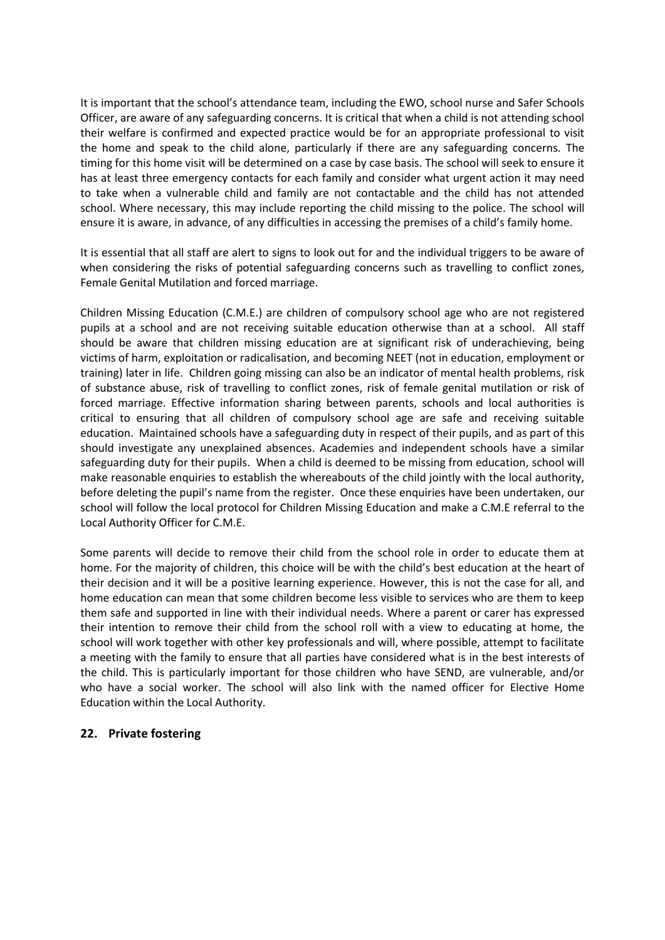It is important that the school's attendance team, including the EWO, school nurse and Safer Schools Officer, are aware of any safeguarding concerns. It is critical that when a child is not attending school their welfare is confirmed and expected practice would be for an appropriate professional to visit the home and speak to the child alone, particularly if there are any safeguarding concerns. The timing for this home visit will be determined on a case by case basis. The school will seek to ensure it has at least three emergency contacts for each family and consider what urgent action it may need to take when a vulnerable child and family are not contactable and the child has not attended school. Where necessary, this may include reporting the child missing to the police. The school will ensure it is aware, in advance, of any difficulties in accessing the premises of a child's family home.

It is essential that all staff are alert to signs to look out for and the individual triggers to be aware of when considering the risks of potential safeguarding concerns such as travelling to conflict zones, Female Genital Mutilation and forced marriage.

Children Missing Education (C.M.E.) are children of compulsory school age who are not registered pupils at a school and are not receiving suitable education otherwise than at a school. All staff should be aware that children missing education are at significant risk of underachieving, being victims of harm, exploitation or radicalisation, and becoming NEET (not in education, employment or training) later in life. Children going missing can also be an indicator of mental health problems, risk of substance abuse, risk of travelling to conflict zones, risk of female genital mutilation or risk of forced marriage. Effective information sharing between parents, schools and local authorities is critical to ensuring that all children of compulsory school age are safe and receiving suitable education. Maintained schools have a safeguarding duty in respect of their pupils, and as part of this should investigate any unexplained absences. Academies and independent schools have a similar safeguarding duty for their pupils. When a child is deemed to be missing from education, school will make reasonable enquiries to establish the whereabouts of the child jointly with the local authority, before deleting the pupil's name from the register. Once these enquiries have been undertaken, our school will follow the local protocol for Children Missing Education and make a C.M.E referral to the Local Authority Officer for C.M.E.

Some parents will decide to remove their child from the school role in order to educate them at home. For the majority of children, this choice will be with the child's best education at the heart of their decision and it will be a positive learning experience. However, this is not the case for all, and home education can mean that some children become less visible to services who are them to keep them safe and supported in line with their individual needs. Where a parent or carer has expressed their intention to remove their child from the school roll with a view to educating at home, the school will work together with other key professionals and will, where possible, attempt to facilitate a meeting with the family to ensure that all parties have considered what is in the best interests of the child. This is particularly important for those children who have SEND, are vulnerable, and/or who have a social worker. The school will also link with the named officer for Elective Home Education within the Local Authority.

## **22. Private fostering**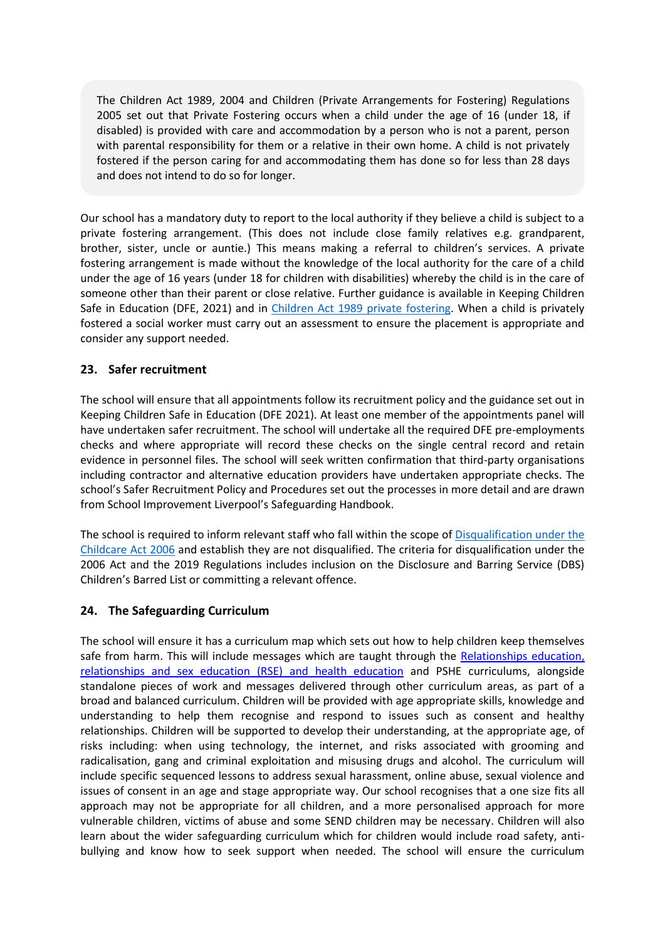The Children Act 1989, 2004 and Children (Private Arrangements for Fostering) Regulations 2005 set out that Private Fostering occurs when a child under the age of 16 (under 18, if disabled) is provided with care and accommodation by a person who is not a parent, person with parental responsibility for them or a relative in their own home. A child is not privately fostered if the person caring for and accommodating them has done so for less than 28 days and does not intend to do so for longer.

Our school has a mandatory duty to report to the local authority if they believe a child is subject to a private fostering arrangement. (This does not include close family relatives e.g. grandparent, brother, sister, uncle or auntie.) This means making a referral to children's services. A private fostering arrangement is made without the knowledge of the local authority for the care of a child under the age of 16 years (under 18 for children with disabilities) whereby the child is in the care of someone other than their parent or close relative. Further guidance is available in Keeping Children Safe in Education (DFE, 2021) and in [Children Act 1989 private fostering.](https://assets.publishing.service.gov.uk/government/uploads/system/uploads/attachment_data/file/274414/Children_Act_1989_private_fostering.pdf) When a child is privately fostered a social worker must carry out an assessment to ensure the placement is appropriate and consider any support needed.

## **23. Safer recruitment**

The school will ensure that all appointments follow its recruitment policy and the guidance set out in Keeping Children Safe in Education (DFE 2021). At least one member of the appointments panel will have undertaken safer recruitment. The school will undertake all the required DFE pre-employments checks and where appropriate will record these checks on the single central record and retain evidence in personnel files. The school will seek written confirmation that third-party organisations including contractor and alternative education providers have undertaken appropriate checks. The school's Safer Recruitment Policy and Procedures set out the processes in more detail and are drawn from School Improvement Liverpool's Safeguarding Handbook.

The school is required to inform relevant staff who fall within the scope o[f Disqualification under the](https://www.gov.uk/government/publications/disqualification-under-the-childcare-act-2006/disqualification-under-the-childcare-act-2006#contents)  [Childcare Act 2006](https://www.gov.uk/government/publications/disqualification-under-the-childcare-act-2006/disqualification-under-the-childcare-act-2006#contents) and establish they are not disqualified. The criteria for disqualification under the 2006 Act and the 2019 Regulations includes inclusion on the Disclosure and Barring Service (DBS) Children's Barred List or committing a relevant offence.

# **24. The Safeguarding Curriculum**

The school will ensure it has a curriculum map which sets out how to help children keep themselves safe from harm. This will include messages which are taught through the [Relationships](https://www.gov.uk/government/publications/relationships-education-relationships-and-sex-education-rse-and-health-education) education, relationships and sex education [\(RSE\) and health education](https://www.gov.uk/government/publications/relationships-education-relationships-and-sex-education-rse-and-health-education) and PSHE curriculums, alongside standalone pieces of work and messages delivered through other curriculum areas, as part of a broad and balanced curriculum. Children will be provided with age appropriate skills, knowledge and understanding to help them recognise and respond to issues such as consent and healthy relationships. Children will be supported to develop their understanding, at the appropriate age, of risks including: when using technology, the internet, and risks associated with grooming and radicalisation, gang and criminal exploitation and misusing drugs and alcohol. The curriculum will include specific sequenced lessons to address sexual harassment, online abuse, sexual violence and issues of consent in an age and stage appropriate way. Our school recognises that a one size fits all approach may not be appropriate for all children, and a more personalised approach for more vulnerable children, victims of abuse and some SEND children may be necessary. Children will also learn about the wider safeguarding curriculum which for children would include road safety, antibullying and know how to seek support when needed. The school will ensure the curriculum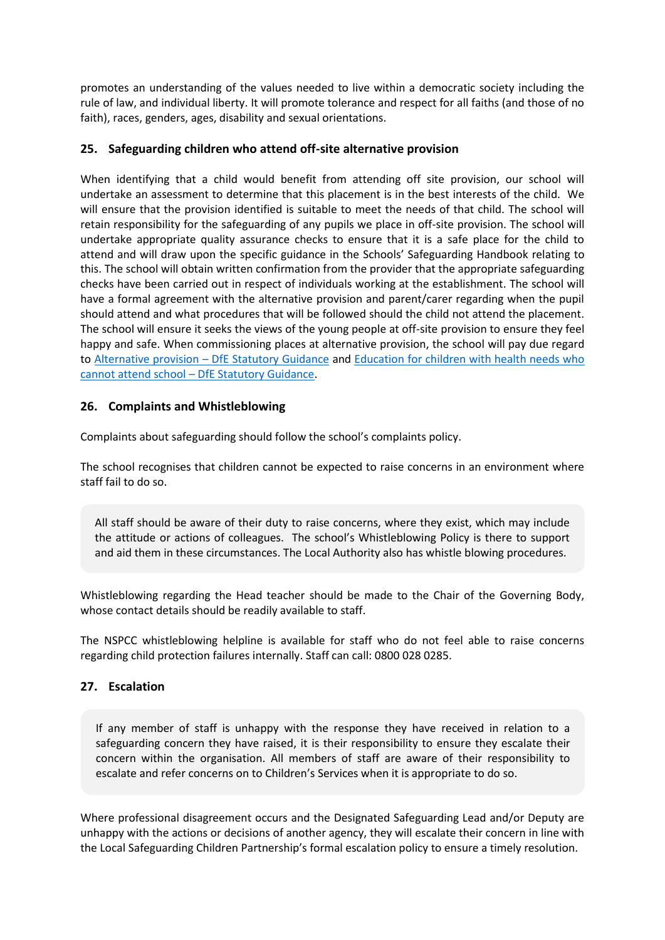promotes an understanding of the values needed to live within a democratic society including the rule of law, and individual liberty. It will promote tolerance and respect for all faiths (and those of no faith), races, genders, ages, disability and sexual orientations.

# **25. Safeguarding children who attend off-site alternative provision**

When identifying that a child would benefit from attending off site provision, our school will undertake an assessment to determine that this placement is in the best interests of the child. We will ensure that the provision identified is suitable to meet the needs of that child. The school will retain responsibility for the safeguarding of any pupils we place in off-site provision. The school will undertake appropriate quality assurance checks to ensure that it is a safe place for the child to attend and will draw upon the specific guidance in the Schools' Safeguarding Handbook relating to this. The school will obtain written confirmation from the provider that the appropriate safeguarding checks have been carried out in respect of individuals working at the establishment. The school will have a formal agreement with the alternative provision and parent/carer regarding when the pupil should attend and what procedures that will be followed should the child not attend the placement. The school will ensure it seeks the views of the young people at off-site provision to ensure they feel happy and safe. When commissioning places at alternative provision, the school will pay due regard to Alternative provision - [DfE Statutory Guidance](https://www.gov.uk/government/publications/alternative-provision) and Education for children with health needs who cannot attend school – [DfE Statutory Guidance.](https://www.gov.uk/government/publications/education-for-children-with-health-needs-who-cannot-attend-school)

# **26. Complaints and Whistleblowing**

Complaints about safeguarding should follow the school's complaints policy.

The school recognises that children cannot be expected to raise concerns in an environment where staff fail to do so.

All staff should be aware of their duty to raise concerns, where they exist, which may include the attitude or actions of colleagues. The school's Whistleblowing Policy is there to support and aid them in these circumstances. The Local Authority also has whistle blowing procedures.

Whistleblowing regarding the Head teacher should be made to the Chair of the Governing Body, whose contact details should be readily available to staff.

The NSPCC whistleblowing helpline is available for staff who do not feel able to raise concerns regarding child protection failures internally. Staff can call: 0800 028 0285.

# **27. Escalation**

If any member of staff is unhappy with the response they have received in relation to a safeguarding concern they have raised, it is their responsibility to ensure they escalate their concern within the organisation. All members of staff are aware of their responsibility to escalate and refer concerns on to Children's Services when it is appropriate to do so.

Where professional disagreement occurs and the Designated Safeguarding Lead and/or Deputy are unhappy with the actions or decisions of another agency, they will escalate their concern in line with the Local Safeguarding Children Partnership's formal escalation policy to ensure a timely resolution.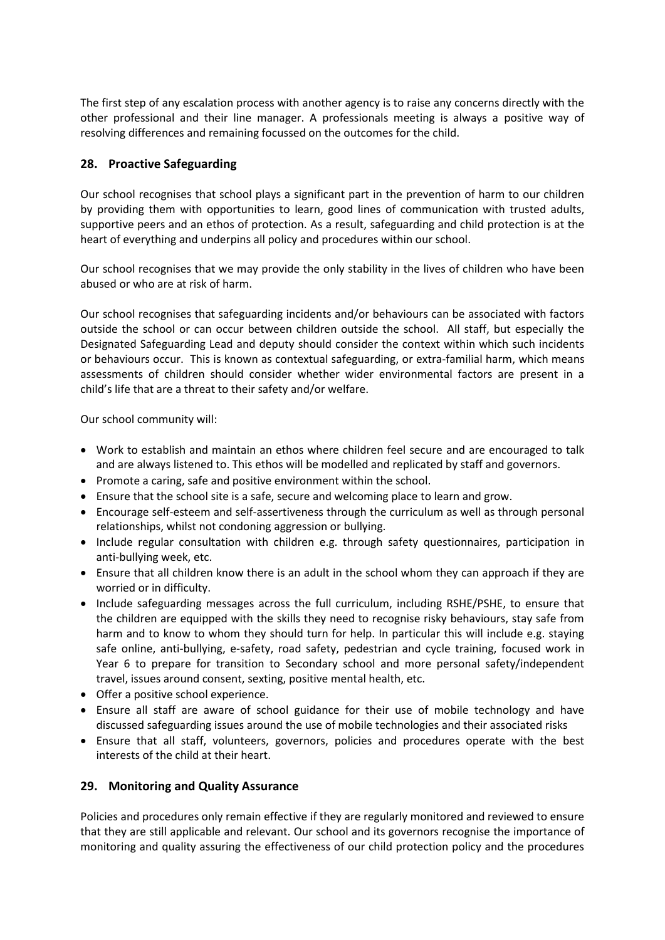The first step of any escalation process with another agency is to raise any concerns directly with the other professional and their line manager. A professionals meeting is always a positive way of resolving differences and remaining focussed on the outcomes for the child.

# **28. Proactive Safeguarding**

Our school recognises that school plays a significant part in the prevention of harm to our children by providing them with opportunities to learn, good lines of communication with trusted adults, supportive peers and an ethos of protection. As a result, safeguarding and child protection is at the heart of everything and underpins all policy and procedures within our school.

Our school recognises that we may provide the only stability in the lives of children who have been abused or who are at risk of harm.

Our school recognises that safeguarding incidents and/or behaviours can be associated with factors outside the school or can occur between children outside the school. All staff, but especially the Designated Safeguarding Lead and deputy should consider the context within which such incidents or behaviours occur. This is known as contextual safeguarding, or extra-familial harm, which means assessments of children should consider whether wider environmental factors are present in a child's life that are a threat to their safety and/or welfare.

Our school community will:

- Work to establish and maintain an ethos where children feel secure and are encouraged to talk and are always listened to. This ethos will be modelled and replicated by staff and governors.
- Promote a caring, safe and positive environment within the school.
- Ensure that the school site is a safe, secure and welcoming place to learn and grow.
- Encourage self-esteem and self-assertiveness through the curriculum as well as through personal relationships, whilst not condoning aggression or bullying.
- Include regular consultation with children e.g. through safety questionnaires, participation in anti-bullying week, etc.
- Ensure that all children know there is an adult in the school whom they can approach if they are worried or in difficulty.
- Include safeguarding messages across the full curriculum, including RSHE/PSHE, to ensure that the children are equipped with the skills they need to recognise risky behaviours, stay safe from harm and to know to whom they should turn for help. In particular this will include e.g. staying safe online, anti-bullying, e-safety, road safety, pedestrian and cycle training, focused work in Year 6 to prepare for transition to Secondary school and more personal safety/independent travel, issues around consent, sexting, positive mental health, etc.
- Offer a positive school experience.
- Ensure all staff are aware of school guidance for their use of mobile technology and have discussed safeguarding issues around the use of mobile technologies and their associated risks
- Ensure that all staff, volunteers, governors, policies and procedures operate with the best interests of the child at their heart.

## **29. Monitoring and Quality Assurance**

Policies and procedures only remain effective if they are regularly monitored and reviewed to ensure that they are still applicable and relevant. Our school and its governors recognise the importance of monitoring and quality assuring the effectiveness of our child protection policy and the procedures